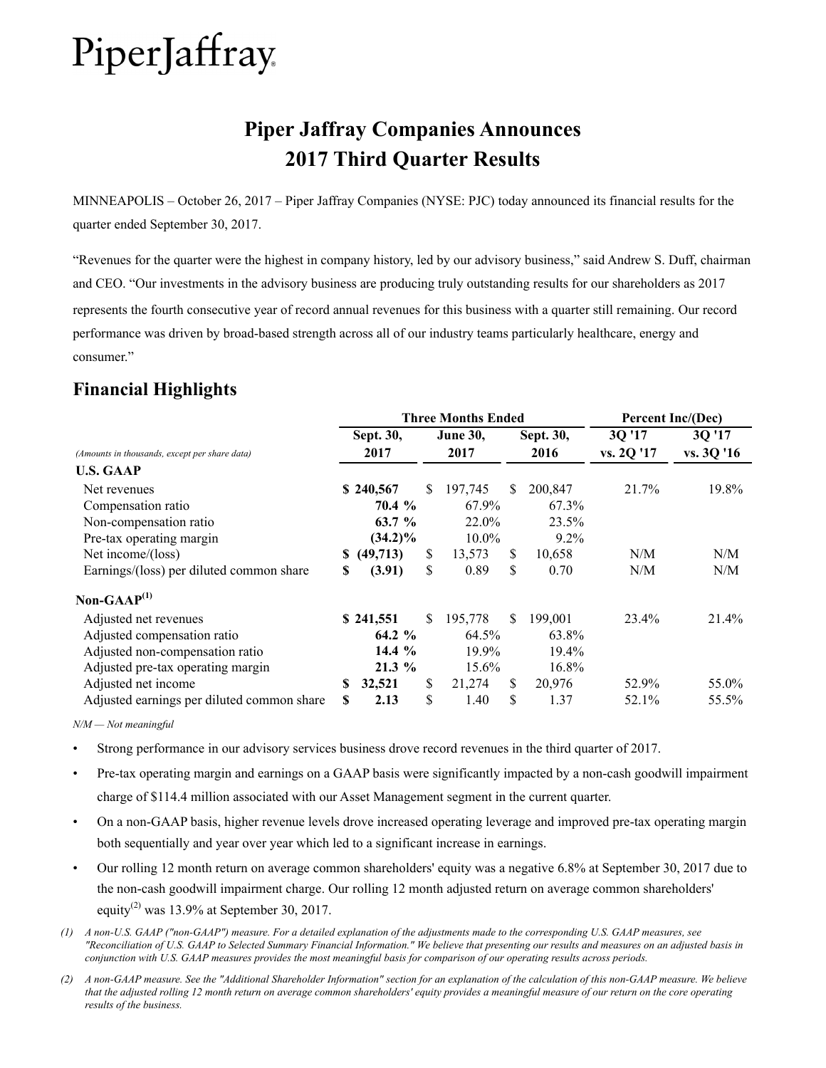## **Piper Jaffray Companies Announces 2017 Third Quarter Results**

MINNEAPOLIS – October 26, 2017 – Piper Jaffray Companies (NYSE: PJC) today announced its financial results for the quarter ended September 30, 2017.

"Revenues for the quarter were the highest in company history, led by our advisory business," said Andrew S. Duff, chairman and CEO. "Our investments in the advisory business are producing truly outstanding results for our shareholders as 2017 represents the fourth consecutive year of record annual revenues for this business with a quarter still remaining. Our record performance was driven by broad-based strength across all of our industry teams particularly healthcare, energy and consumer."

## **Financial Highlights**

|                                               | <b>Three Months Ended</b> |             |    |                 |     |           | Percent Inc/(Dec) |            |  |
|-----------------------------------------------|---------------------------|-------------|----|-----------------|-----|-----------|-------------------|------------|--|
|                                               |                           | Sept. 30,   |    | <b>June 30,</b> |     | Sept. 30, | 3Q '17            | 3Q'17      |  |
| (Amounts in thousands, except per share data) |                           | 2017        |    | 2017            |     | 2016      | vs. 2Q '17        | vs. 3Q '16 |  |
| <b>U.S. GAAP</b>                              |                           |             |    |                 |     |           |                   |            |  |
| Net revenues                                  |                           | \$240,567   | \$ | 197,745         | \$. | 200,847   | 21.7%             | 19.8%      |  |
| Compensation ratio                            |                           | 70.4 %      |    | 67.9%           |     | 67.3%     |                   |            |  |
| Non-compensation ratio                        |                           | 63.7 %      |    | 22.0%           |     | 23.5%     |                   |            |  |
| Pre-tax operating margin                      |                           | $(34.2)\%$  |    | 10.0%           |     | $9.2\%$   |                   |            |  |
| Net income/(loss)                             |                           | \$ (49,713) | \$ | 13,573          | \$  | 10,658    | N/M               | N/M        |  |
| Earnings/(loss) per diluted common share      | S                         | (3.91)      | \$ | 0.89            | \$  | 0.70      | N/M               | N/M        |  |
| Non-GAA $P^{(1)}$                             |                           |             |    |                 |     |           |                   |            |  |
| Adjusted net revenues                         |                           | \$241,551   | \$ | 195,778         | \$. | 199,001   | 23.4%             | 21.4%      |  |
| Adjusted compensation ratio                   |                           | 64.2 %      |    | 64.5%           |     | 63.8%     |                   |            |  |
| Adjusted non-compensation ratio               |                           | 14.4 $%$    |    | 19.9%           |     | 19.4%     |                   |            |  |
| Adjusted pre-tax operating margin             |                           | $21.3\%$    |    | 15.6%           |     | 16.8%     |                   |            |  |
| Adjusted net income                           | S                         | 32,521      | \$ | 21,274          | \$  | 20,976    | 52.9%             | 55.0%      |  |
| Adjusted earnings per diluted common share    | S                         | 2.13        | \$ | 1.40            | \$  | 1.37      | 52.1%             | 55.5%      |  |

*N/M — Not meaningful*

• Strong performance in our advisory services business drove record revenues in the third quarter of 2017.

- Pre-tax operating margin and earnings on a GAAP basis were significantly impacted by a non-cash goodwill impairment charge of \$114.4 million associated with our Asset Management segment in the current quarter.
- On a non-GAAP basis, higher revenue levels drove increased operating leverage and improved pre-tax operating margin both sequentially and year over year which led to a significant increase in earnings.
- Our rolling 12 month return on average common shareholders' equity was a negative 6.8% at September 30, 2017 due to the non-cash goodwill impairment charge. Our rolling 12 month adjusted return on average common shareholders' equity<sup>(2)</sup> was 13.9% at September 30, 2017.
- *(1) A non-U.S. GAAP ("non-GAAP") measure. For a detailed explanation of the adjustments made to the corresponding U.S. GAAP measures, see "Reconciliation of U.S. GAAP to Selected Summary Financial Information." We believe that presenting our results and measures on an adjusted basis in conjunction with U.S. GAAP measures provides the most meaningful basis for comparison of our operating results across periods.*
- *(2) A non-GAAP measure. See the "Additional Shareholder Information" section for an explanation of the calculation of this non-GAAP measure. We believe that the adjusted rolling 12 month return on average common shareholders' equity provides a meaningful measure of our return on the core operating results of the business.*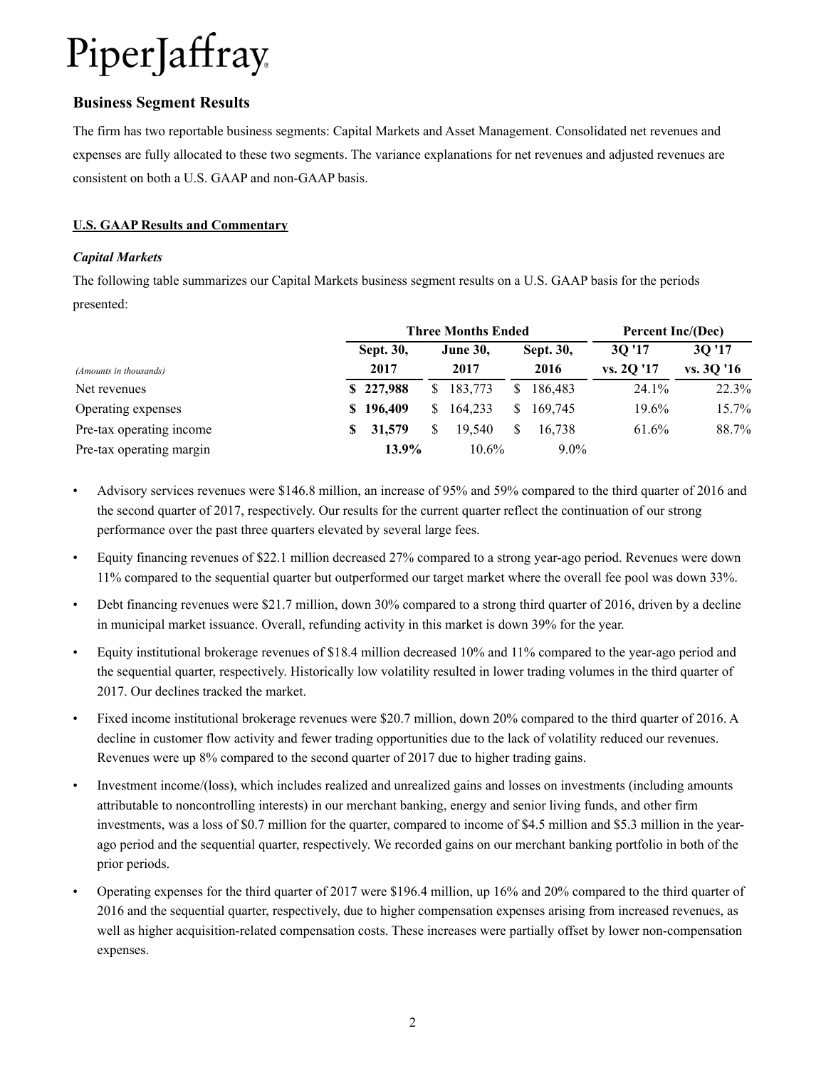### **Business Segment Results**

The firm has two reportable business segments: Capital Markets and Asset Management. Consolidated net revenues and expenses are fully allocated to these two segments. The variance explanations for net revenues and adjusted revenues are consistent on both a U.S. GAAP and non-GAAP basis.

#### **U.S. GAAP Results and Commentary**

#### *Capital Markets*

The following table summarizes our Capital Markets business segment results on a U.S. GAAP basis for the periods presented:

|                          |   | <b>Three Months Ended</b> |    |                         |              |                   |                     | Percent Inc/(Dec)   |  |  |
|--------------------------|---|---------------------------|----|-------------------------|--------------|-------------------|---------------------|---------------------|--|--|
| (Amounts in thousands)   |   | Sept. 30,<br>2017         |    | <b>June 30,</b><br>2017 |              | Sept. 30,<br>2016 | 30'17<br>vs. 20 '17 | 30'17<br>vs. 3Q '16 |  |  |
| Net revenues             |   | \$227,988                 | S. | 183,773                 |              | 186.483           | 24.1%               | 22.3%               |  |  |
| Operating expenses       |   | \$196,409                 | S. | 164.233                 | <sup>S</sup> | 169.745           | 19.6%               | 15.7%               |  |  |
| Pre-tax operating income | S | 31,579                    |    | 19.540                  |              | 16.738            | 61.6%               | 88.7%               |  |  |
| Pre-tax operating margin |   | 13.9%                     |    | $10.6\%$                |              | $9.0\%$           |                     |                     |  |  |

- Advisory services revenues were \$146.8 million, an increase of 95% and 59% compared to the third quarter of 2016 and the second quarter of 2017, respectively. Our results for the current quarter reflect the continuation of our strong performance over the past three quarters elevated by several large fees.
- Equity financing revenues of \$22.1 million decreased 27% compared to a strong year-ago period. Revenues were down 11% compared to the sequential quarter but outperformed our target market where the overall fee pool was down 33%.
- Debt financing revenues were \$21.7 million, down 30% compared to a strong third quarter of 2016, driven by a decline in municipal market issuance. Overall, refunding activity in this market is down 39% for the year.
- Equity institutional brokerage revenues of \$18.4 million decreased 10% and 11% compared to the year-ago period and the sequential quarter, respectively. Historically low volatility resulted in lower trading volumes in the third quarter of 2017. Our declines tracked the market.
- Fixed income institutional brokerage revenues were \$20.7 million, down 20% compared to the third quarter of 2016. A decline in customer flow activity and fewer trading opportunities due to the lack of volatility reduced our revenues. Revenues were up 8% compared to the second quarter of 2017 due to higher trading gains.
- Investment income/(loss), which includes realized and unrealized gains and losses on investments (including amounts attributable to noncontrolling interests) in our merchant banking, energy and senior living funds, and other firm investments, was a loss of \$0.7 million for the quarter, compared to income of \$4.5 million and \$5.3 million in the yearago period and the sequential quarter, respectively. We recorded gains on our merchant banking portfolio in both of the prior periods.
- Operating expenses for the third quarter of 2017 were \$196.4 million, up 16% and 20% compared to the third quarter of 2016 and the sequential quarter, respectively, due to higher compensation expenses arising from increased revenues, as well as higher acquisition-related compensation costs. These increases were partially offset by lower non-compensation expenses.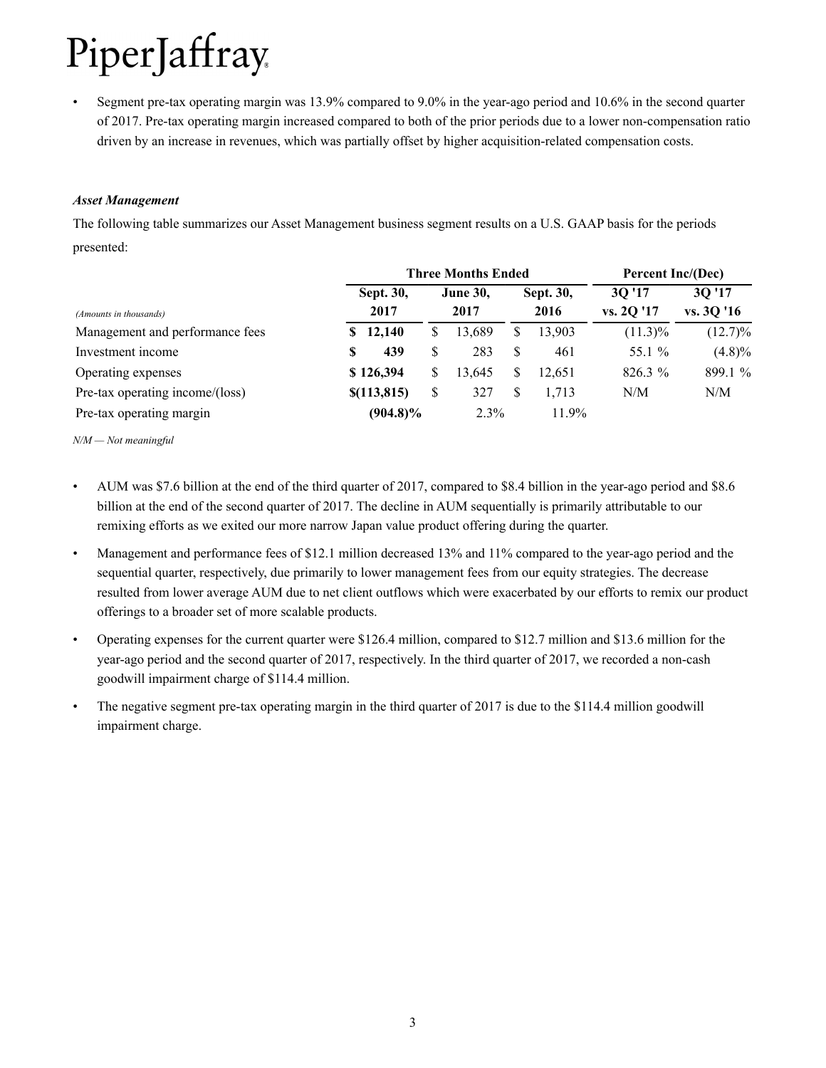• Segment pre-tax operating margin was 13.9% compared to 9.0% in the year-ago period and 10.6% in the second quarter of 2017. Pre-tax operating margin increased compared to both of the prior periods due to a lower non-compensation ratio driven by an increase in revenues, which was partially offset by higher acquisition-related compensation costs.

#### *Asset Management*

The following table summarizes our Asset Management business segment results on a U.S. GAAP basis for the periods presented:

|                                 |   | <b>Three Months Ended</b> |    | Percent Inc/(Dec) |   |           |            |            |
|---------------------------------|---|---------------------------|----|-------------------|---|-----------|------------|------------|
|                                 |   | Sept. 30,                 |    | <b>June 30,</b>   |   | Sept. 30, | 30'17      | 3Q '17     |
| (Amounts in thousands)          |   | 2017                      |    | 2017              |   | 2016      | vs. 20 '17 | vs. 3Q '16 |
| Management and performance fees |   | \$12,140                  | \$ | 13,689            | S | 13.903    | $(11.3)\%$ | $(12.7)\%$ |
| Investment income               | S | 439                       | S  | 283               | S | 461       | 55.1 %     | $(4.8)\%$  |
| Operating expenses              |   | \$126,394                 | S  | 13.645            |   | 12.651    | 826.3 %    | 899.1 %    |
| Pre-tax operating income/(loss) |   | \$(113, 815)              | \$ | 327               |   | 1.713     | N/M        | N/M        |
| Pre-tax operating margin        |   | $(904.8)\%$               |    | 2.3%              |   | 11.9%     |            |            |

*N/M — Not meaningful*

- AUM was \$7.6 billion at the end of the third quarter of 2017, compared to \$8.4 billion in the year-ago period and \$8.6 billion at the end of the second quarter of 2017. The decline in AUM sequentially is primarily attributable to our remixing efforts as we exited our more narrow Japan value product offering during the quarter.
- Management and performance fees of \$12.1 million decreased 13% and 11% compared to the year-ago period and the sequential quarter, respectively, due primarily to lower management fees from our equity strategies. The decrease resulted from lower average AUM due to net client outflows which were exacerbated by our efforts to remix our product offerings to a broader set of more scalable products.
- Operating expenses for the current quarter were \$126.4 million, compared to \$12.7 million and \$13.6 million for the year-ago period and the second quarter of 2017, respectively. In the third quarter of 2017, we recorded a non-cash goodwill impairment charge of \$114.4 million.
- The negative segment pre-tax operating margin in the third quarter of 2017 is due to the \$114.4 million goodwill impairment charge.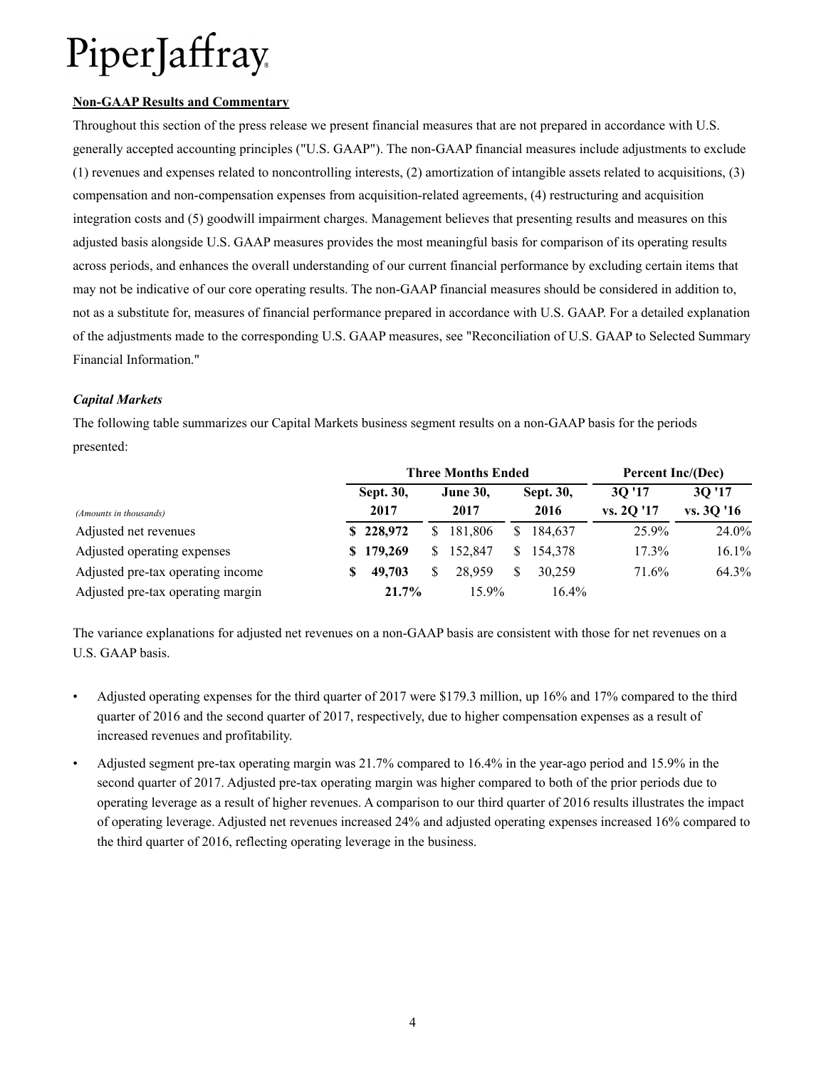#### **Non-GAAP Results and Commentary**

Throughout this section of the press release we present financial measures that are not prepared in accordance with U.S. generally accepted accounting principles ("U.S. GAAP"). The non-GAAP financial measures include adjustments to exclude (1) revenues and expenses related to noncontrolling interests, (2) amortization of intangible assets related to acquisitions, (3) compensation and non-compensation expenses from acquisition-related agreements, (4) restructuring and acquisition integration costs and (5) goodwill impairment charges. Management believes that presenting results and measures on this adjusted basis alongside U.S. GAAP measures provides the most meaningful basis for comparison of its operating results across periods, and enhances the overall understanding of our current financial performance by excluding certain items that may not be indicative of our core operating results. The non-GAAP financial measures should be considered in addition to, not as a substitute for, measures of financial performance prepared in accordance with U.S. GAAP. For a detailed explanation of the adjustments made to the corresponding U.S. GAAP measures, see "Reconciliation of U.S. GAAP to Selected Summary Financial Information."

#### *Capital Markets*

The following table summarizes our Capital Markets business segment results on a non-GAAP basis for the periods presented:

|                                   |   | <b>Three Months Ended</b> |    |                 |              |           |           | <b>Percent Inc/(Dec)</b> |  |  |
|-----------------------------------|---|---------------------------|----|-----------------|--------------|-----------|-----------|--------------------------|--|--|
|                                   |   | Sept. 30,                 |    | <b>June 30,</b> |              | Sept. 30, | 30'17     | 30'17                    |  |  |
| (Amounts in thousands)            |   | 2017                      |    | 2017            |              | 2016      | vs. 2O'17 | vs. 3Q '16               |  |  |
| Adjusted net revenues             |   | \$228,972                 |    | \$181,806       | <sup>S</sup> | 184.637   | 25.9%     | 24.0%                    |  |  |
| Adjusted operating expenses       |   | \$179,269                 | S. | 152,847         | S.           | 154.378   | $17.3\%$  | 16.1%                    |  |  |
| Adjusted pre-tax operating income | S | 49,703                    |    | 28.959          |              | 30.259    | 71.6%     | 64.3%                    |  |  |
| Adjusted pre-tax operating margin |   | 21.7%                     |    | $15.9\%$        |              | $16.4\%$  |           |                          |  |  |

The variance explanations for adjusted net revenues on a non-GAAP basis are consistent with those for net revenues on a U.S. GAAP basis.

- Adjusted operating expenses for the third quarter of 2017 were \$179.3 million, up 16% and 17% compared to the third quarter of 2016 and the second quarter of 2017, respectively, due to higher compensation expenses as a result of increased revenues and profitability.
- Adjusted segment pre-tax operating margin was 21.7% compared to 16.4% in the year-ago period and 15.9% in the second quarter of 2017. Adjusted pre-tax operating margin was higher compared to both of the prior periods due to operating leverage as a result of higher revenues. A comparison to our third quarter of 2016 results illustrates the impact of operating leverage. Adjusted net revenues increased 24% and adjusted operating expenses increased 16% compared to the third quarter of 2016, reflecting operating leverage in the business.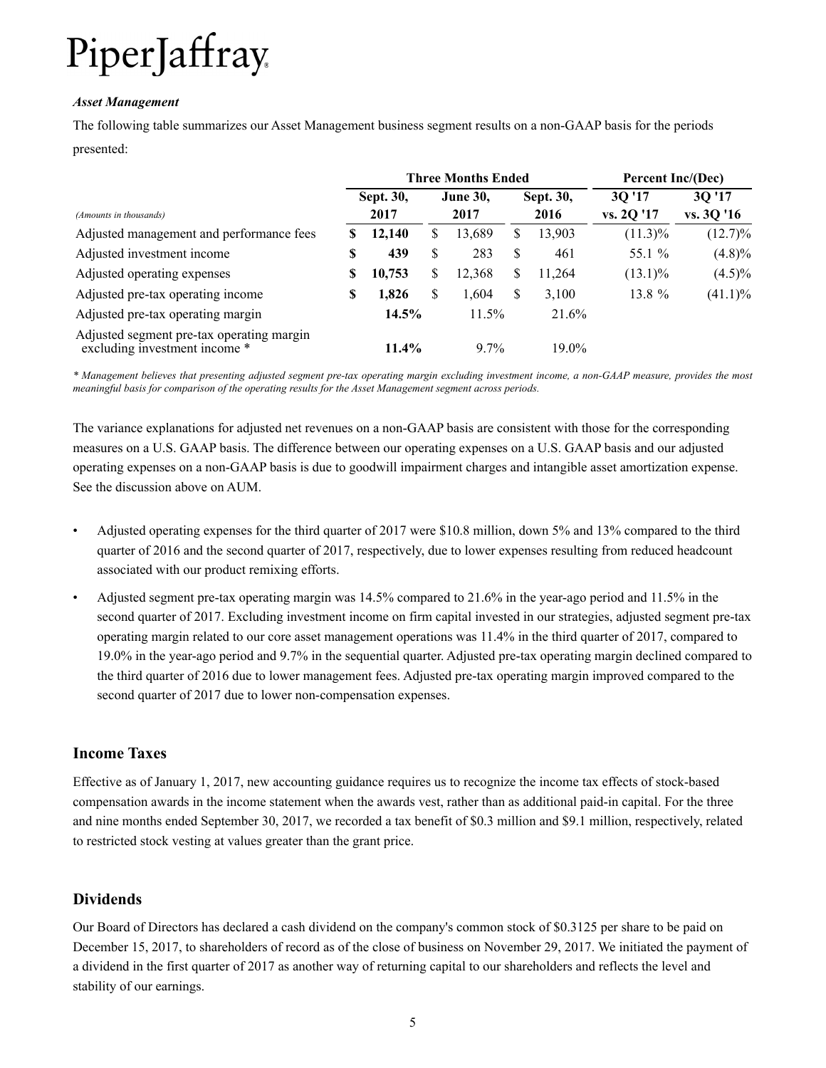#### *Asset Management*

The following table summarizes our Asset Management business segment results on a non-GAAP basis for the periods presented:

|                                                                            |      |                  |      | <b>Three Months Ended</b> |   |           | Percent Inc/(Dec) |            |  |
|----------------------------------------------------------------------------|------|------------------|------|---------------------------|---|-----------|-------------------|------------|--|
|                                                                            |      | <b>Sept. 30,</b> |      | <b>June 30,</b>           |   | Sept. 30, | 30'17             | 30'17      |  |
| (Amounts in thousands)                                                     | 2017 |                  | 2017 |                           |   | 2016      | vs. 2Q '17        | vs. 3Q '16 |  |
| Adjusted management and performance fees                                   | S    | 12,140           | S    | 13,689                    | S | 13,903    | $(11.3)\%$        | $(12.7)\%$ |  |
| Adjusted investment income                                                 | \$   | 439              | \$   | 283                       | S | 461       | 55.1 %            | $(4.8)\%$  |  |
| Adjusted operating expenses                                                | S    | 10,753           | \$   | 12,368                    | S | 11,264    | $(13.1)\%$        | $(4.5)\%$  |  |
| Adjusted pre-tax operating income                                          | S    | 1,826            | \$   | 1,604                     | S | 3,100     | 13.8 %            | $(41.1)\%$ |  |
| Adjusted pre-tax operating margin                                          |      | 14.5%            |      | 11.5%                     |   | 21.6%     |                   |            |  |
| Adjusted segment pre-tax operating margin<br>excluding investment income * |      | $11.4\%$         |      | $9.7\%$                   |   | $19.0\%$  |                   |            |  |

*\* Management believes that presenting adjusted segment pre-tax operating margin excluding investment income, a non-GAAP measure, provides the most meaningful basis for comparison of the operating results for the Asset Management segment across periods.* 

The variance explanations for adjusted net revenues on a non-GAAP basis are consistent with those for the corresponding measures on a U.S. GAAP basis. The difference between our operating expenses on a U.S. GAAP basis and our adjusted operating expenses on a non-GAAP basis is due to goodwill impairment charges and intangible asset amortization expense. See the discussion above on AUM.

- Adjusted operating expenses for the third quarter of 2017 were \$10.8 million, down 5% and 13% compared to the third quarter of 2016 and the second quarter of 2017, respectively, due to lower expenses resulting from reduced headcount associated with our product remixing efforts.
- Adjusted segment pre-tax operating margin was 14.5% compared to 21.6% in the year-ago period and 11.5% in the second quarter of 2017. Excluding investment income on firm capital invested in our strategies, adjusted segment pre-tax operating margin related to our core asset management operations was 11.4% in the third quarter of 2017, compared to 19.0% in the year-ago period and 9.7% in the sequential quarter. Adjusted pre-tax operating margin declined compared to the third quarter of 2016 due to lower management fees. Adjusted pre-tax operating margin improved compared to the second quarter of 2017 due to lower non-compensation expenses.

### **Income Taxes**

Effective as of January 1, 2017, new accounting guidance requires us to recognize the income tax effects of stock-based compensation awards in the income statement when the awards vest, rather than as additional paid-in capital. For the three and nine months ended September 30, 2017, we recorded a tax benefit of \$0.3 million and \$9.1 million, respectively, related to restricted stock vesting at values greater than the grant price.

### **Dividends**

Our Board of Directors has declared a cash dividend on the company's common stock of \$0.3125 per share to be paid on December 15, 2017, to shareholders of record as of the close of business on November 29, 2017. We initiated the payment of a dividend in the first quarter of 2017 as another way of returning capital to our shareholders and reflects the level and stability of our earnings.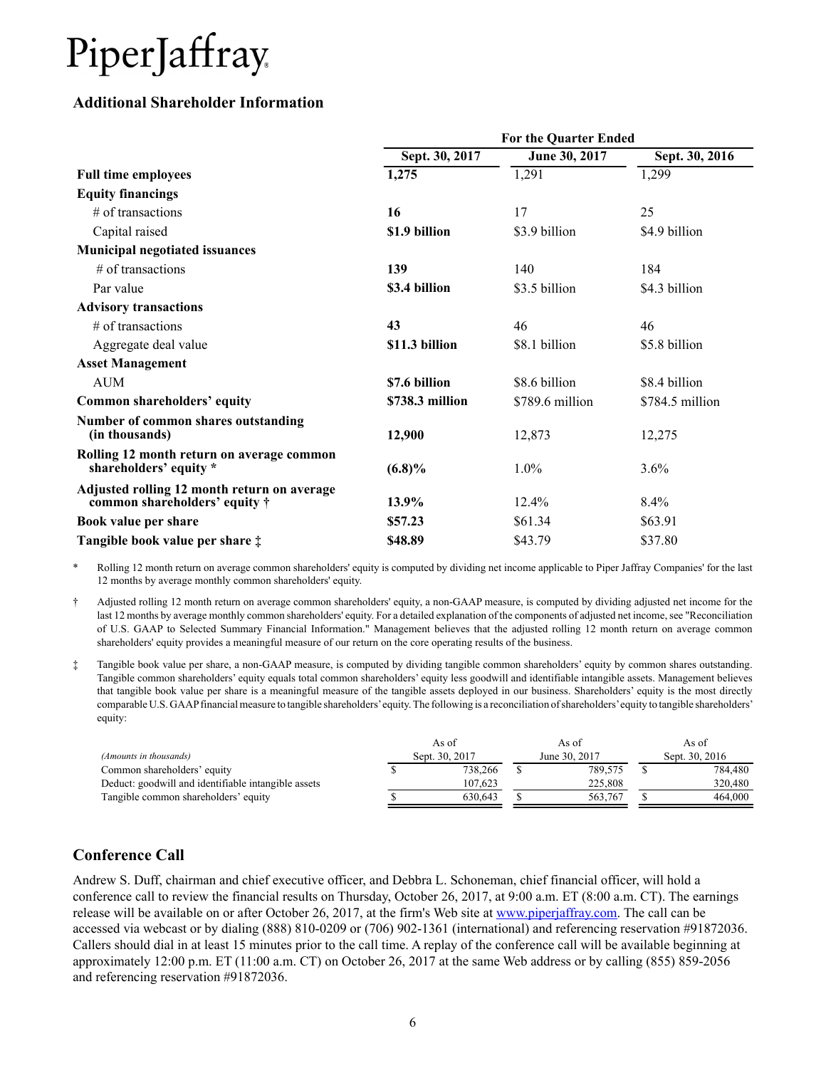### **Additional Shareholder Information**

|                                                                                      |                 | For the Quarter Ended |                 |  |
|--------------------------------------------------------------------------------------|-----------------|-----------------------|-----------------|--|
|                                                                                      | Sept. 30, 2017  | June 30, 2017         | Sept. 30, 2016  |  |
| <b>Full time employees</b>                                                           | 1,275           | 1,291                 | 1,299           |  |
| <b>Equity financings</b>                                                             |                 |                       |                 |  |
| $#$ of transactions                                                                  | 16              | 17                    | 25              |  |
| Capital raised                                                                       | \$1.9 billion   | \$3.9 billion         | \$4.9 billion   |  |
| <b>Municipal negotiated issuances</b>                                                |                 |                       |                 |  |
| $#$ of transactions                                                                  | 139             | 140                   | 184             |  |
| Par value                                                                            | \$3.4 billion   | \$3.5 billion         | \$4.3 billion   |  |
| <b>Advisory transactions</b>                                                         |                 |                       |                 |  |
| # of transactions                                                                    | 43              | 46                    | 46              |  |
| Aggregate deal value                                                                 | \$11.3 billion  | \$8.1 billion         | \$5.8 billion   |  |
| <b>Asset Management</b>                                                              |                 |                       |                 |  |
| <b>AUM</b>                                                                           | \$7.6 billion   | \$8.6 billion         | \$8.4 billion   |  |
| Common shareholders' equity                                                          | \$738.3 million | \$789.6 million       | \$784.5 million |  |
| Number of common shares outstanding<br>(in thousands)                                | 12,900          | 12,873                | 12,275          |  |
| Rolling 12 month return on average common<br>shareholders' equity *                  | $(6.8)\%$       | $1.0\%$               | 3.6%            |  |
| Adjusted rolling 12 month return on average<br>common shareholders' equity $\dagger$ | 13.9%           | 12.4%                 | $8.4\%$         |  |
| Book value per share                                                                 | \$57.23         | \$61.34               | \$63.91         |  |
| Tangible book value per share $\ddagger$                                             | \$48.89         | \$43.79               | \$37.80         |  |

\* Rolling 12 month return on average common shareholders' equity is computed by dividing net income applicable to Piper Jaffray Companies' for the last 12 months by average monthly common shareholders' equity.

† Adjusted rolling 12 month return on average common shareholders' equity, a non-GAAP measure, is computed by dividing adjusted net income for the last 12 months by average monthly common shareholders' equity. For a detailed explanation of the components of adjusted net income, see "Reconciliation of U.S. GAAP to Selected Summary Financial Information." Management believes that the adjusted rolling 12 month return on average common shareholders' equity provides a meaningful measure of our return on the core operating results of the business.

‡ Tangible book value per share, a non-GAAP measure, is computed by dividing tangible common shareholders' equity by common shares outstanding. Tangible common shareholders' equity equals total common shareholders' equity less goodwill and identifiable intangible assets. Management believes that tangible book value per share is a meaningful measure of the tangible assets deployed in our business. Shareholders' equity is the most directly comparable U.S. GAAPfinancial measure to tangible shareholders'equity. The following is a reconciliation of shareholders'equity to tangible shareholders' equity:

|                                                     | As of          | As of |               |  | As of          |
|-----------------------------------------------------|----------------|-------|---------------|--|----------------|
| (Amounts in thousands)                              | Sept. 30, 2017 |       | June 30, 2017 |  | Sept. 30, 2016 |
| Common shareholders' equity                         | 738.266        |       | 789.575       |  | 784.480        |
| Deduct: goodwill and identifiable intangible assets | 107.623        |       | 225.808       |  | 320.480        |
| Tangible common shareholders' equity                | 630.643        |       | 563.767       |  | 464.000        |

## **Conference Call**

Andrew S. Duff, chairman and chief executive officer, and Debbra L. Schoneman, chief financial officer, will hold a conference call to review the financial results on Thursday, October 26, 2017, at 9:00 a.m. ET (8:00 a.m. CT). The earnings release will be available on or after October 26, 2017, at the firm's Web site at www.piperjaffray.com. The call can be accessed via webcast or by dialing (888) 810-0209 or (706) 902-1361 (international) and referencing reservation #91872036. Callers should dial in at least 15 minutes prior to the call time. A replay of the conference call will be available beginning at approximately 12:00 p.m. ET (11:00 a.m. CT) on October 26, 2017 at the same Web address or by calling (855) 859-2056 and referencing reservation #91872036.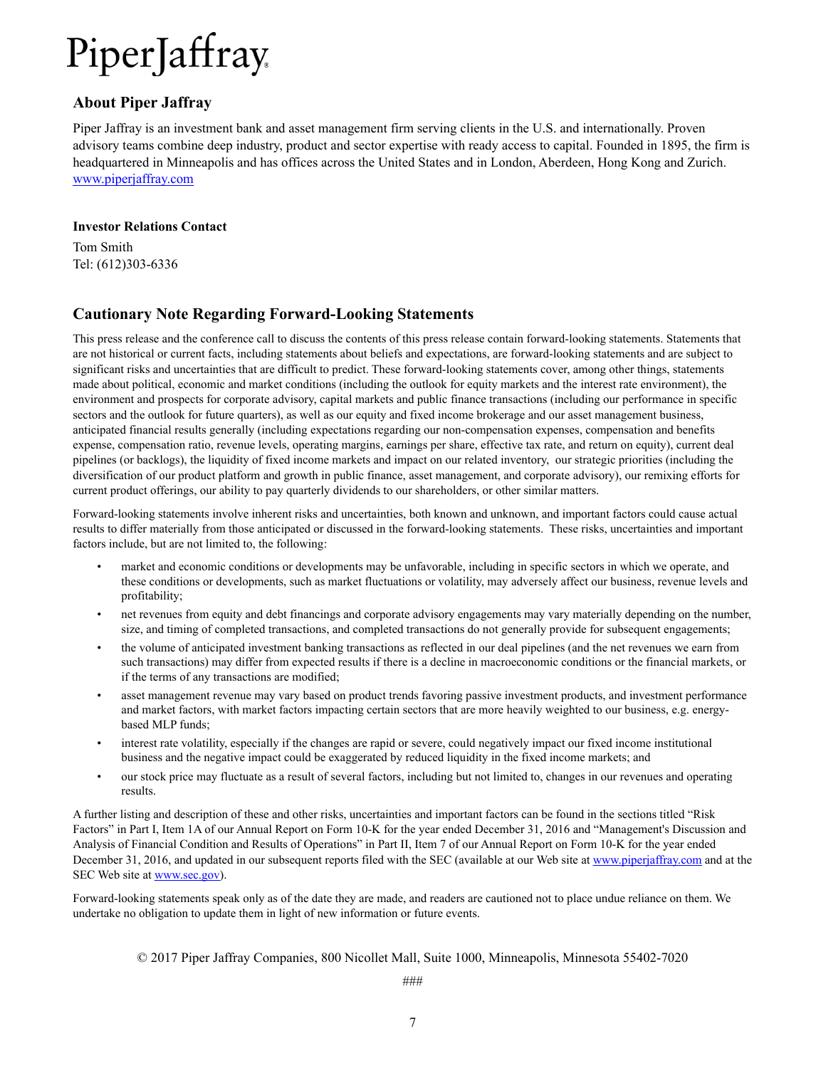### **About Piper Jaffray**

Piper Jaffray is an investment bank and asset management firm serving clients in the U.S. and internationally. Proven advisory teams combine deep industry, product and sector expertise with ready access to capital. Founded in 1895, the firm is headquartered in Minneapolis and has offices across the United States and in London, Aberdeen, Hong Kong and Zurich. www.piperjaffray.com

#### **Investor Relations Contact**

Tom Smith Tel: (612)303-6336

## **Cautionary Note Regarding Forward-Looking Statements**

This press release and the conference call to discuss the contents of this press release contain forward-looking statements. Statements that are not historical or current facts, including statements about beliefs and expectations, are forward-looking statements and are subject to significant risks and uncertainties that are difficult to predict. These forward-looking statements cover, among other things, statements made about political, economic and market conditions (including the outlook for equity markets and the interest rate environment), the environment and prospects for corporate advisory, capital markets and public finance transactions (including our performance in specific sectors and the outlook for future quarters), as well as our equity and fixed income brokerage and our asset management business, anticipated financial results generally (including expectations regarding our non-compensation expenses, compensation and benefits expense, compensation ratio, revenue levels, operating margins, earnings per share, effective tax rate, and return on equity), current deal pipelines (or backlogs), the liquidity of fixed income markets and impact on our related inventory, our strategic priorities (including the diversification of our product platform and growth in public finance, asset management, and corporate advisory), our remixing efforts for current product offerings, our ability to pay quarterly dividends to our shareholders, or other similar matters.

Forward-looking statements involve inherent risks and uncertainties, both known and unknown, and important factors could cause actual results to differ materially from those anticipated or discussed in the forward-looking statements. These risks, uncertainties and important factors include, but are not limited to, the following:

- market and economic conditions or developments may be unfavorable, including in specific sectors in which we operate, and these conditions or developments, such as market fluctuations or volatility, may adversely affect our business, revenue levels and profitability;
- net revenues from equity and debt financings and corporate advisory engagements may vary materially depending on the number, size, and timing of completed transactions, and completed transactions do not generally provide for subsequent engagements;
- the volume of anticipated investment banking transactions as reflected in our deal pipelines (and the net revenues we earn from such transactions) may differ from expected results if there is a decline in macroeconomic conditions or the financial markets, or if the terms of any transactions are modified;
- asset management revenue may vary based on product trends favoring passive investment products, and investment performance and market factors, with market factors impacting certain sectors that are more heavily weighted to our business, e.g. energybased MLP funds;
- interest rate volatility, especially if the changes are rapid or severe, could negatively impact our fixed income institutional business and the negative impact could be exaggerated by reduced liquidity in the fixed income markets; and
- our stock price may fluctuate as a result of several factors, including but not limited to, changes in our revenues and operating results.

A further listing and description of these and other risks, uncertainties and important factors can be found in the sections titled "Risk Factors" in Part I, Item 1A of our Annual Report on Form 10-K for the year ended December 31, 2016 and "Management's Discussion and Analysis of Financial Condition and Results of Operations" in Part II, Item 7 of our Annual Report on Form 10-K for the year ended December 31, 2016, and updated in our subsequent reports filed with the SEC (available at our Web site at www.piperjaffray.com and at the SEC Web site at www.sec.gov).

Forward-looking statements speak only as of the date they are made, and readers are cautioned not to place undue reliance on them. We undertake no obligation to update them in light of new information or future events.

© 2017 Piper Jaffray Companies, 800 Nicollet Mall, Suite 1000, Minneapolis, Minnesota 55402-7020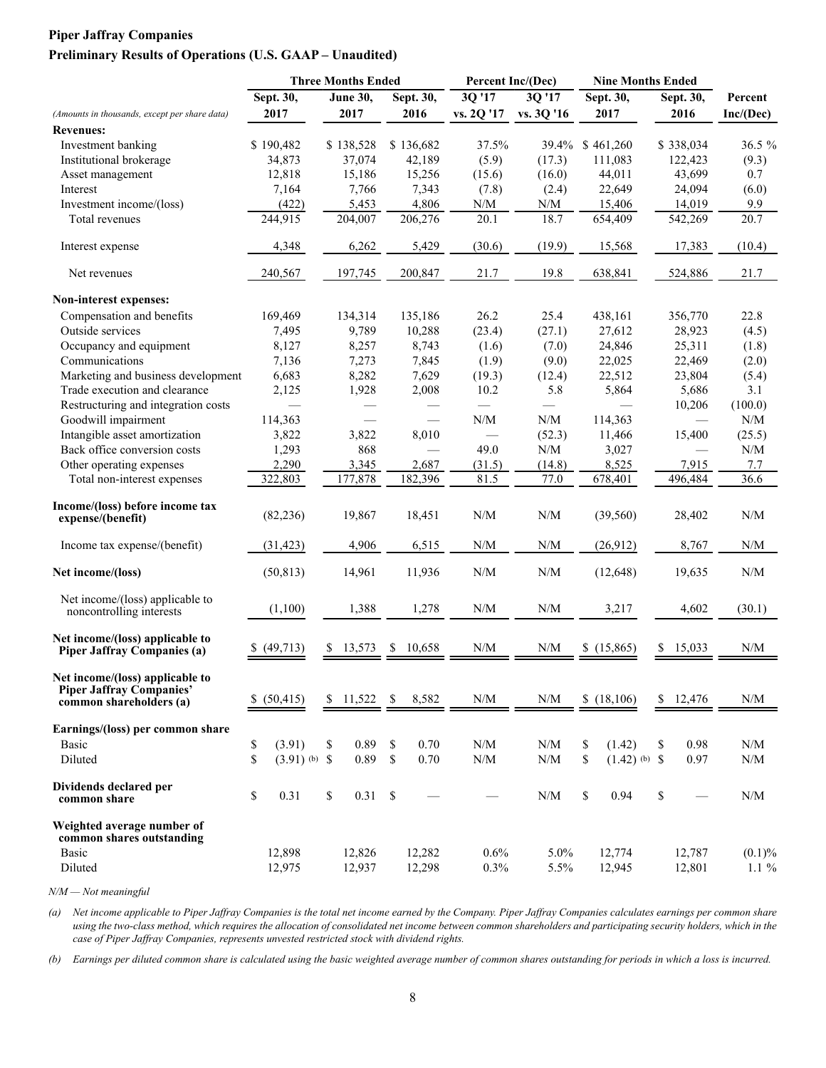#### **Piper Jaffray Companies Preliminary Results of Operations (U.S. GAAP – Unaudited)**

|                                                                                               |                       | <b>Three Months Ended</b> |              | Percent Inc/(Dec)                                           |                                                             | <b>Nine Months Ended</b> |               |                                                             |
|-----------------------------------------------------------------------------------------------|-----------------------|---------------------------|--------------|-------------------------------------------------------------|-------------------------------------------------------------|--------------------------|---------------|-------------------------------------------------------------|
|                                                                                               | Sept. 30,             | <b>June 30,</b>           | Sept. 30,    | 3Q '17                                                      | 3Q '17                                                      | Sept. 30,                | Sept. 30,     | Percent                                                     |
| (Amounts in thousands, except per share data)                                                 | 2017                  | 2017                      | 2016         | vs. 2Q '17                                                  | vs. 3Q '16                                                  | 2017                     | 2016          | Inc/(Dec)                                                   |
| <b>Revenues:</b>                                                                              |                       |                           |              |                                                             |                                                             |                          |               |                                                             |
| Investment banking                                                                            | \$190,482             | \$138,528                 | \$136,682    | 37.5%                                                       | 39.4%                                                       | \$461,260                | \$338,034     | 36.5 %                                                      |
| Institutional brokerage                                                                       | 34,873                | 37,074                    | 42,189       | (5.9)                                                       | (17.3)                                                      | 111,083                  | 122,423       | (9.3)                                                       |
| Asset management                                                                              | 12,818                | 15,186                    | 15,256       | (15.6)                                                      | (16.0)                                                      | 44,011                   | 43,699        | 0.7                                                         |
| Interest                                                                                      | 7,164                 | 7,766                     | 7,343        | (7.8)                                                       | (2.4)                                                       | 22,649                   | 24,094        | (6.0)                                                       |
| Investment income/(loss)                                                                      | (422)                 | 5,453                     | 4,806        | N/M                                                         | N/M                                                         | 15,406                   | 14,019        | 9.9                                                         |
| Total revenues                                                                                | 244,915               | 204,007                   | 206,276      | 20.1                                                        | 18.7                                                        | 654,409                  | 542,269       | 20.7                                                        |
| Interest expense                                                                              | 4,348                 | 6,262                     | 5,429        | (30.6)                                                      | (19.9)                                                      | 15,568                   | 17,383        | (10.4)                                                      |
| Net revenues                                                                                  | 240,567               | 197,745                   | 200,847      | 21.7                                                        | 19.8                                                        | 638,841                  | 524,886       | 21.7                                                        |
| Non-interest expenses:                                                                        |                       |                           |              |                                                             |                                                             |                          |               |                                                             |
| Compensation and benefits                                                                     | 169,469               | 134,314                   | 135,186      | 26.2                                                        | 25.4                                                        | 438,161                  | 356,770       | 22.8                                                        |
| Outside services                                                                              | 7,495                 | 9,789                     | 10,288       | (23.4)                                                      | (27.1)                                                      | 27,612                   | 28,923        | (4.5)                                                       |
| Occupancy and equipment                                                                       | 8,127                 | 8,257                     | 8,743        | (1.6)                                                       | (7.0)                                                       | 24,846                   | 25,311        | (1.8)                                                       |
| Communications                                                                                | 7,136                 | 7,273                     | 7,845        | (1.9)                                                       | (9.0)                                                       | 22,025                   | 22,469        | (2.0)                                                       |
| Marketing and business development                                                            | 6,683                 | 8,282                     | 7,629        | (19.3)                                                      | (12.4)                                                      | 22,512                   | 23,804        | (5.4)                                                       |
| Trade execution and clearance                                                                 | 2,125                 | 1,928                     | 2,008        | 10.2                                                        | 5.8                                                         | 5,864                    | 5,686         | 3.1                                                         |
| Restructuring and integration costs                                                           |                       |                           |              |                                                             |                                                             |                          | 10,206        | (100.0)                                                     |
| Goodwill impairment                                                                           | 114,363               | $\overline{\phantom{0}}$  |              | N/M                                                         | ${\rm N/M}$                                                 | 114,363                  |               | N/M                                                         |
| Intangible asset amortization                                                                 | 3,822                 | 3,822                     | 8,010        |                                                             | (52.3)                                                      | 11,466                   | 15,400        | (25.5)                                                      |
| Back office conversion costs                                                                  | 1,293                 | 868                       |              | 49.0                                                        | $\ensuremath{\text{N}}\xspace/\ensuremath{\text{M}}\xspace$ | 3,027                    |               | $\ensuremath{\text{N}}\xspace/\ensuremath{\text{M}}\xspace$ |
| Other operating expenses                                                                      | 2,290                 | 3,345                     | 2,687        | (31.5)                                                      | (14.8)                                                      | 8,525                    | 7,915         | 7.7                                                         |
| Total non-interest expenses                                                                   | 322,803               | 177,878                   | 182,396      | 81.5                                                        | 77.0                                                        | 678,401                  | 496,484       | 36.6                                                        |
|                                                                                               |                       |                           |              |                                                             |                                                             |                          |               |                                                             |
| Income/(loss) before income tax<br>expense/(benefit)                                          | (82, 236)             | 19,867                    | 18,451       | N/M                                                         | $\ensuremath{\text{N}}/\ensuremath{\text{M}}$               | (39, 560)                | 28,402        | $\ensuremath{\text{N}}\xspace/\ensuremath{\text{M}}\xspace$ |
| Income tax expense/(benefit)                                                                  | (31, 423)             | 4,906                     | 6,515        | N/M                                                         | N/M                                                         | (26,912)                 | 8,767         | $\ensuremath{\text{N}}\xspace/\ensuremath{\text{M}}\xspace$ |
| Net income/(loss)                                                                             | (50, 813)             | 14,961                    | 11,936       | N/M                                                         | N/M                                                         | (12, 648)                | 19,635        | N/M                                                         |
| Net income/(loss) applicable to<br>noncontrolling interests                                   | (1,100)               | 1,388                     | 1,278        | N/M                                                         | N/M                                                         | 3,217                    | 4,602         | (30.1)                                                      |
| Net income/(loss) applicable to<br><b>Piper Jaffray Companies (a)</b>                         | (49, 713)<br>Y.       | 13,573<br>\$.             | 10,658<br>\$ | N/M                                                         | N/M                                                         | \$(15,865)               | 15,033<br>\$. | N/M                                                         |
| Net income/(loss) applicable to<br><b>Piper Jaffray Companies'</b><br>common shareholders (a) | (50, 415)<br>S.       | \$11,522                  | 8,582<br>-\$ | N/M                                                         | N/M                                                         | \$(18, 106)              | \$12,476      | N/M                                                         |
| Earnings/(loss) per common share                                                              |                       |                           |              |                                                             |                                                             |                          |               |                                                             |
|                                                                                               |                       |                           |              |                                                             |                                                             |                          |               |                                                             |
| Basic                                                                                         | \$<br>(3.91)          | 0.89<br>\$                | 0.70<br>\$   | $\ensuremath{\text{N}}\xspace/\ensuremath{\text{M}}\xspace$ | $\ensuremath{\text{N}}/\ensuremath{\text{M}}$               | (1.42)<br>\$             | 0.98<br>\$    | N/M                                                         |
| Diluted                                                                                       | \$<br>$(3.91)$ (b) \$ | 0.89                      | $\$$<br>0.70 | $\ensuremath{\text{N}}\xspace/\ensuremath{\text{M}}\xspace$ | $\ensuremath{\text{N}}\xspace/\ensuremath{\text{M}}\xspace$ | \$<br>$(1.42)$ (b) \$    | 0.97          | $\ensuremath{\text{N}}\xspace/\ensuremath{\text{M}}\xspace$ |
| Dividends declared per<br>common share                                                        | \$<br>0.31            | \$<br>0.31                | \$           |                                                             | $\ensuremath{\text{N}}/\ensuremath{\text{M}}$               | \$<br>0.94               | \$            | N/M                                                         |
| Weighted average number of<br>common shares outstanding<br>Basic                              | 12,898                | 12,826                    | 12,282       | 0.6%                                                        | 5.0%                                                        | 12,774                   | 12,787        | $(0.1)\%$                                                   |
| Diluted                                                                                       | 12,975                | 12,937                    | 12,298       | 0.3%                                                        | 5.5%                                                        | 12,945                   | 12,801        | $1.1\%$                                                     |
|                                                                                               |                       |                           |              |                                                             |                                                             |                          |               |                                                             |

*N/M — Not meaningful*

*(a) Net income applicable to Piper Jaffray Companies is the total net income earned by the Company. Piper Jaffray Companies calculates earnings per common share using the two-class method, which requires the allocation of consolidated net income between common shareholders and participating security holders, which in the case of Piper Jaffray Companies, represents unvested restricted stock with dividend rights.*

*(b) Earnings per diluted common share is calculated using the basic weighted average number of common shares outstanding for periods in which a loss is incurred.*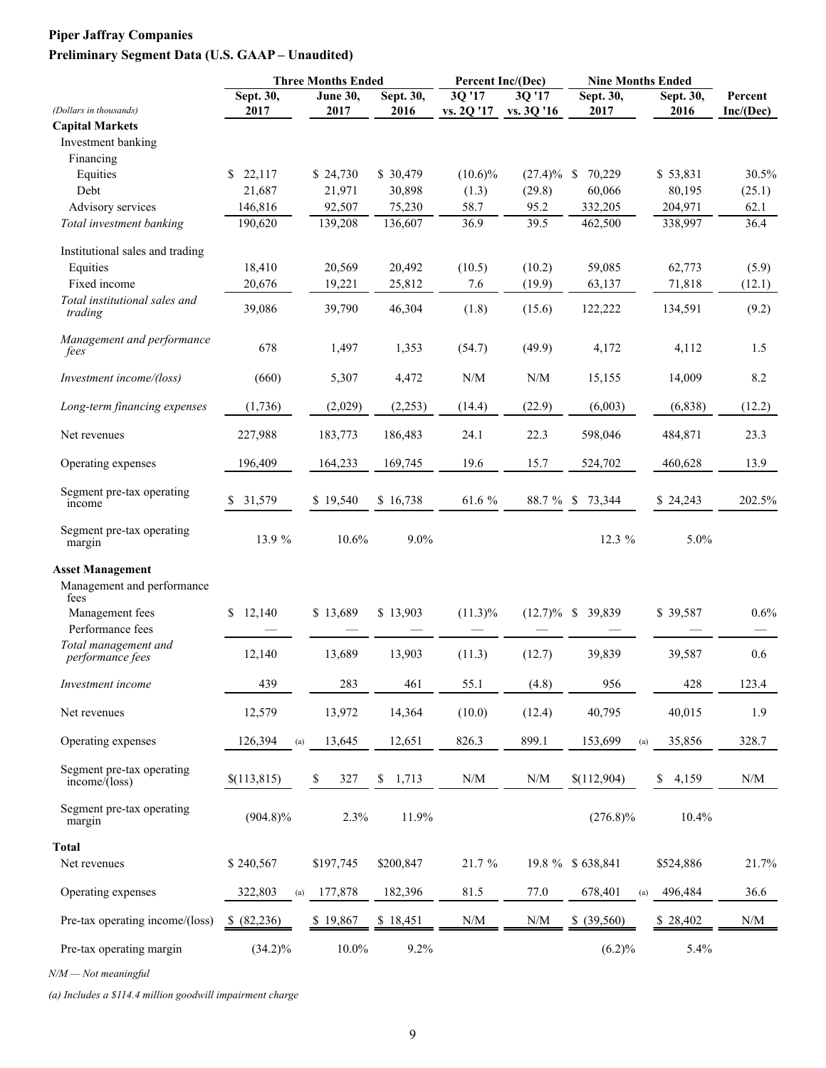## **Piper Jaffray Companies Preliminary Segment Data (U.S. GAAP – Unaudited)**

|                                                     |                   | <b>Three Months Ended</b> |                   | Percent Inc/(Dec)                             |                                                             | <b>Nine Months Ended</b> |                   |                                                             |
|-----------------------------------------------------|-------------------|---------------------------|-------------------|-----------------------------------------------|-------------------------------------------------------------|--------------------------|-------------------|-------------------------------------------------------------|
| (Dollars in thousands)                              | Sept. 30,<br>2017 | June $30,$<br>2017        | Sept. 30,<br>2016 | 3Q '17<br>vs. 2Q '17                          | 3Q '17<br>vs. 3Q '16                                        | Sept. 30,<br>2017        | Sept. 30,<br>2016 | Percent<br>Inc/(Dec)                                        |
| <b>Capital Markets</b>                              |                   |                           |                   |                                               |                                                             |                          |                   |                                                             |
| Investment banking                                  |                   |                           |                   |                                               |                                                             |                          |                   |                                                             |
| Financing                                           |                   |                           |                   |                                               |                                                             |                          |                   |                                                             |
| Equities                                            | \$<br>22,117      | \$24,730                  | \$30,479          | $(10.6)\%$                                    | $(27.4)\%$                                                  | 70,229<br>-S             | \$53,831          | 30.5%                                                       |
| Debt                                                | 21,687            | 21,971                    | 30,898            | (1.3)                                         | (29.8)                                                      | 60,066                   | 80,195            | (25.1)                                                      |
| Advisory services                                   | 146,816           | 92,507                    | 75,230            | 58.7                                          | 95.2                                                        | 332,205                  | 204,971           | 62.1                                                        |
| Total investment banking                            | 190,620           | 139,208                   | 136,607           | 36.9                                          | 39.5                                                        | 462,500                  | 338,997           | 36.4                                                        |
| Institutional sales and trading                     |                   |                           |                   |                                               |                                                             |                          |                   |                                                             |
| Equities                                            | 18,410            | 20,569                    | 20,492            | (10.5)                                        | (10.2)                                                      | 59,085                   | 62,773            | (5.9)                                                       |
| Fixed income                                        | 20,676            | 19,221                    | 25,812            | 7.6                                           | (19.9)                                                      | 63,137                   | 71,818            | (12.1)                                                      |
| Total institutional sales and<br>trading            | 39,086            | 39,790                    | 46,304            | (1.8)                                         | (15.6)                                                      | 122,222                  | 134,591           | (9.2)                                                       |
| Management and performance<br>fees                  | 678               | 1,497                     | 1,353             | (54.7)                                        | (49.9)                                                      | 4,172                    | 4,112             | 1.5                                                         |
| Investment income/(loss)                            | (660)             | 5,307                     | 4,472             | N/M                                           | N/M                                                         | 15,155                   | 14,009            | 8.2                                                         |
| Long-term financing expenses                        | (1,736)           | (2,029)                   | (2,253)           | (14.4)                                        | (22.9)                                                      | (6,003)                  | (6, 838)          | (12.2)                                                      |
| Net revenues                                        | 227,988           | 183,773                   | 186,483           | 24.1                                          | 22.3                                                        | 598,046                  | 484,871           | 23.3                                                        |
| Operating expenses                                  | 196,409           | 164,233                   | 169,745           | 19.6                                          | 15.7                                                        | 524,702                  | 460,628           | 13.9                                                        |
| Segment pre-tax operating<br>income                 | 31,579<br>S.      | \$19,540                  | \$16,738          | $61.6~\%$                                     | 88.7 %                                                      | 73,344<br>-S             | \$24,243          | 202.5%                                                      |
| Segment pre-tax operating<br>margin                 | 13.9 %            | 10.6%                     | 9.0%              |                                               |                                                             | 12.3 %                   | 5.0%              |                                                             |
| <b>Asset Management</b>                             |                   |                           |                   |                                               |                                                             |                          |                   |                                                             |
| Management and performance<br>fees                  |                   |                           |                   |                                               |                                                             |                          |                   |                                                             |
| Management fees<br>Performance fees                 | \$12,140          | \$13,689                  | \$13,903          | $(11.3)\%$                                    | $(12.7)\%$                                                  | 39,839<br><sup>\$</sup>  | \$39,587          | 0.6%                                                        |
| Total management and                                | 12,140            | 13,689                    | 13,903            | (11.3)                                        | (12.7)                                                      | 39,839                   | 39,587            | 0.6                                                         |
| performance fees                                    |                   |                           |                   |                                               |                                                             |                          |                   |                                                             |
| Investment income                                   | 439               | 283                       | 461               | 55.1                                          | (4.8)                                                       | 956                      | 428               | 123.4                                                       |
| Net revenues                                        | 12,579            | 13,972                    | 14,364            | (10.0)                                        | (12.4)                                                      | 40,795                   | 40,015            | 1.9                                                         |
| Operating expenses                                  | 126,394<br>(a)    | 13,645                    | 12,651            | 826.3                                         | 899.1                                                       | 153,699<br>(a)           | 35,856            | 328.7                                                       |
| Segment pre-tax operating<br>$income/(\text{loss})$ | \$(113,815)       | \$<br>327                 | \$<br>1,713       | $\ensuremath{\text{N}}/\ensuremath{\text{M}}$ | $\ensuremath{\text{N}}\xspace/\ensuremath{\text{M}}\xspace$ | \$(112,904)              | \$<br>4,159       | $\ensuremath{\text{N}}\xspace/\ensuremath{\text{M}}\xspace$ |
| Segment pre-tax operating<br>margin                 | $(904.8)\%$       | 2.3%                      | 11.9%             |                                               |                                                             | $(276.8)\%$              | 10.4%             |                                                             |
| Total                                               |                   |                           |                   |                                               |                                                             |                          |                   |                                                             |
| Net revenues                                        | \$240,567         | \$197,745                 | \$200,847         | 21.7%                                         |                                                             | 19.8 % \$638,841         | \$524,886         | 21.7%                                                       |
| Operating expenses                                  | 322,803<br>(a)    | 177,878                   | 182,396           | 81.5                                          | 77.0                                                        | 678,401<br>(a)           | 496,484           | 36.6                                                        |
| Pre-tax operating income/(loss)                     | \$ (82,236)       | \$19,867                  | \$18,451          | $\ensuremath{\text{N}}/\ensuremath{\text{M}}$ | $\ensuremath{\text{N}}/\ensuremath{\text{M}}$               | \$ (39,560)              | \$28,402          | N/M                                                         |
| Pre-tax operating margin                            | $(34.2)\%$        | $10.0\%$                  | 9.2%              |                                               |                                                             | (6.2)%                   | 5.4%              |                                                             |

*N/M — Not meaningful*

*(a) Includes a \$114.4 million goodwill impairment charge*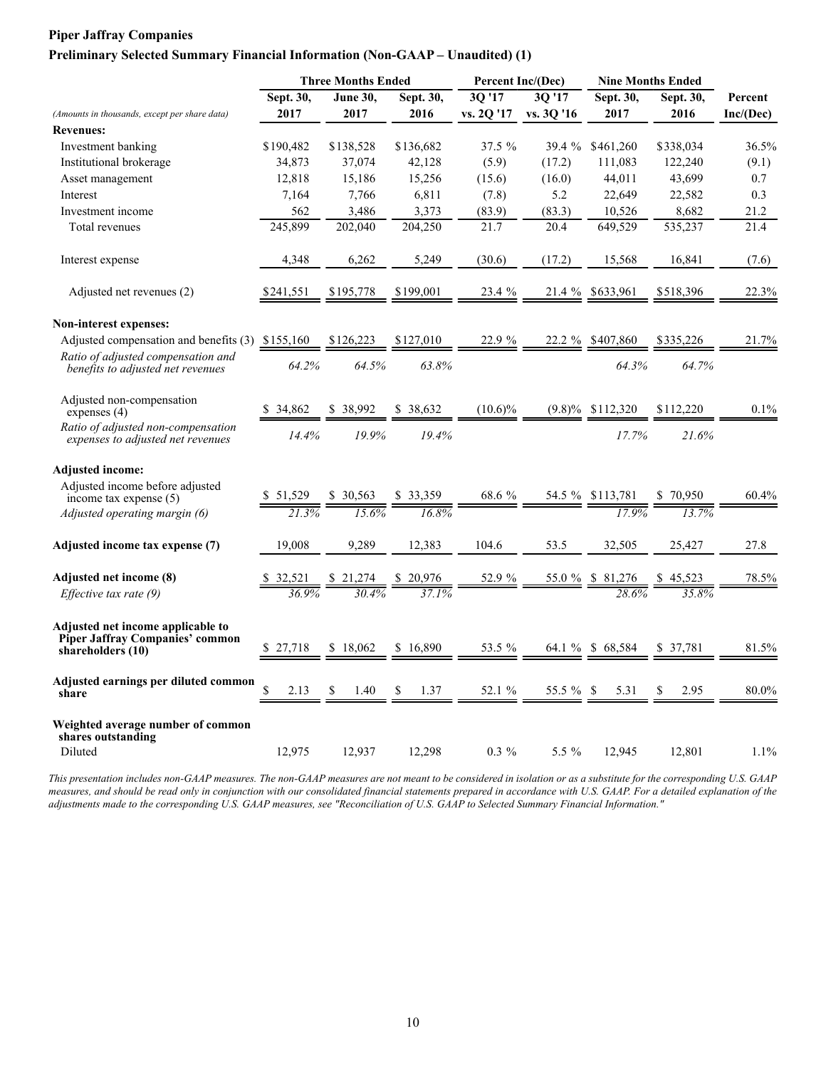#### **Piper Jaffray Companies**

#### **Preliminary Selected Summary Financial Information (Non-GAAP – Unaudited) (1)**

|                                                                                                  |                     | <b>Three Months Ended</b> |            | Percent Inc/(Dec) |            |                               | <b>Nine Months Ended</b> |           |
|--------------------------------------------------------------------------------------------------|---------------------|---------------------------|------------|-------------------|------------|-------------------------------|--------------------------|-----------|
|                                                                                                  | Sept. 30,           | <b>June 30,</b>           | Sept. 30,  | 3Q '17            | 30'17      | Sept. 30,                     | Sept. 30,                | Percent   |
| (Amounts in thousands, except per share data)                                                    | 2017                | 2017                      | 2016       | vs. 2Q '17        | vs. 3Q '16 | 2017                          | 2016                     | Inc/(Dec) |
| <b>Revenues:</b>                                                                                 |                     |                           |            |                   |            |                               |                          |           |
| Investment banking                                                                               | \$190,482           | \$138,528                 | \$136,682  | $37.5 \%$         | 39.4 %     | \$461,260                     | \$338,034                | 36.5%     |
| Institutional brokerage                                                                          | 34,873              | 37,074                    | 42,128     | (5.9)             | (17.2)     | 111,083                       | 122,240                  | (9.1)     |
| Asset management                                                                                 | 12,818              | 15,186                    | 15,256     | (15.6)            | (16.0)     | 44,011                        | 43,699                   | 0.7       |
| Interest                                                                                         | 7,164               | 7,766                     | 6,811      | (7.8)             | 5.2        | 22,649                        | 22,582                   | 0.3       |
| Investment income                                                                                | 562                 | 3,486                     | 3,373      | (83.9)            | (83.3)     | 10,526                        | 8,682                    | 21.2      |
| Total revenues                                                                                   | 245,899             | 202,040                   | 204,250    | 21.7              | 20.4       | 649.529                       | 535,237                  | 21.4      |
| Interest expense                                                                                 | 4,348               | 6,262                     | 5,249      | (30.6)            | (17.2)     | 15,568                        | 16,841                   | (7.6)     |
| Adjusted net revenues (2)                                                                        | \$241,551           | \$195,778                 | \$199,001  | 23.4 %            | 21.4 %     | \$633,961                     | \$518,396                | 22.3%     |
| Non-interest expenses:                                                                           |                     |                           |            |                   |            |                               |                          |           |
| Adjusted compensation and benefits (3) \$155,160                                                 |                     | \$126,223                 | \$127,010  | 22.9 %            | 22.2 %     | \$407,860                     | \$335,226                | 21.7%     |
| Ratio of adjusted compensation and<br>benefits to adjusted net revenues                          | 64.2%               | 64.5%                     | 63.8%      |                   |            | 64.3%                         | 64.7%                    |           |
| Adjusted non-compensation<br>expenses $(4)$                                                      | 34,862              | \$38,992                  | \$ 38.632  | $(10.6)\%$        |            | $(9.8)\%$ \$112,320           | \$112.220                | 0.1%      |
| Ratio of adjusted non-compensation<br>expenses to adjusted net revenues                          | 14.4%               | 19.9%                     | 19.4%      |                   |            | 17.7%                         | 21.6%                    |           |
| <b>Adjusted income:</b>                                                                          |                     |                           |            |                   |            |                               |                          |           |
| Adjusted income before adjusted<br>income tax expense $(5)$                                      | \$51,529            | \$30,563                  | \$33,359   | 68.6 %            | 54.5 %     | \$113,781                     | \$70,950                 | 60.4%     |
| Adjusted operating margin (6)                                                                    | $\overline{21.3\%}$ | 15.6%                     | 16.8%      |                   |            | 17.9%                         | 13.7%                    |           |
| Adjusted income tax expense (7)                                                                  | 19.008              | 9,289                     | 12,383     | 104.6             | 53.5       | 32,505                        | 25,427                   | 27.8      |
| Adjusted net income (8)                                                                          |                     |                           |            | 52.9 %            |            | $\frac{55.0 \%}{8}$ \$ 81,276 |                          | 78.5%     |
| Effective tax rate $(9)$                                                                         |                     |                           |            |                   |            |                               | 358%                     |           |
| Adjusted net income applicable to<br><b>Piper Jaffray Companies' common</b><br>shareholders (10) | 27,718              | \$18,062                  | \$16.890   | 53.5 %            | 64.1 %     | \$68,584                      | \$ 37.781                | 81.5%     |
| Adjusted earnings per diluted common<br>share                                                    | \$<br>2.13          | 1.40<br>S                 | \$<br>1.37 | 52.1 %            | 55.5 % \$  | 5.31                          | \$<br>2.95               | 80.0%     |
| Weighted average number of common<br>shares outstanding<br>Diluted                               | 12,975              | 12,937                    | 12,298     | $0.3 \%$          | 5.5 $%$    | 12,945                        | 12,801                   | 1.1%      |

*This presentation includes non-GAAP measures. The non-GAAP measures are not meant to be considered in isolation or as a substitute for the corresponding U.S. GAAP measures, and should be read only in conjunction with our consolidated financial statements prepared in accordance with U.S. GAAP. For a detailed explanation of the adjustments made to the corresponding U.S. GAAP measures, see "Reconciliation of U.S. GAAP to Selected Summary Financial Information."*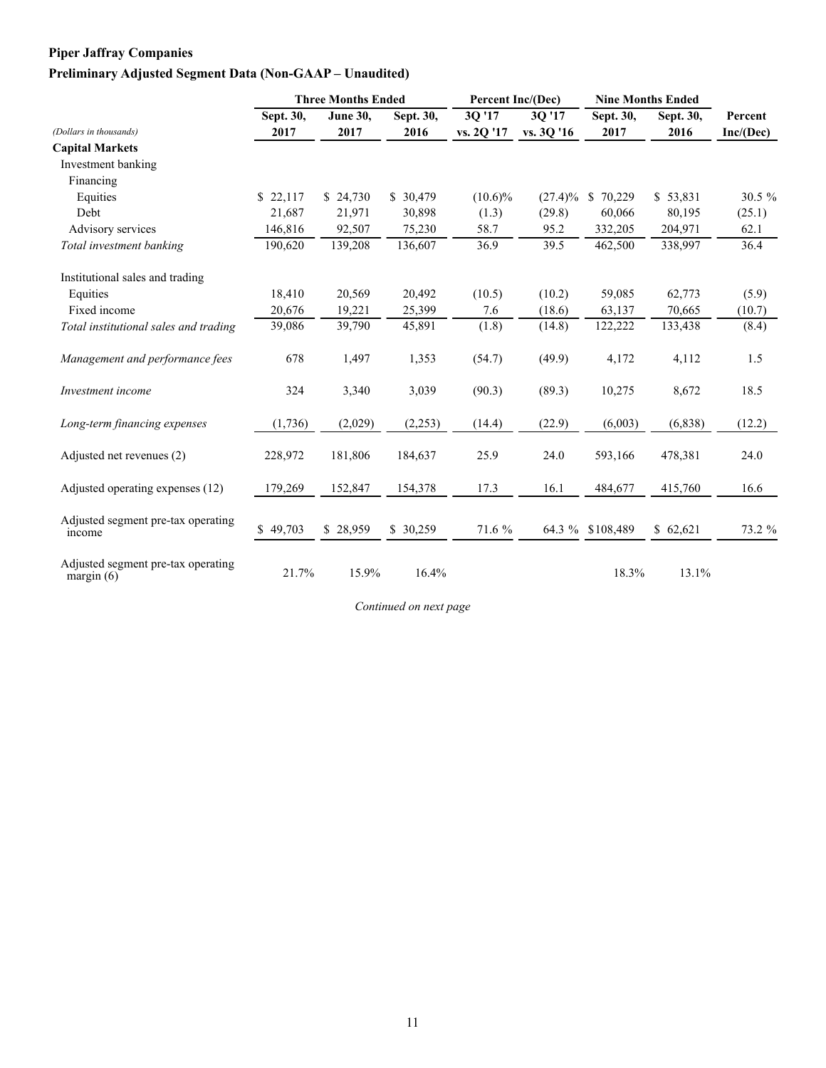## **Piper Jaffray Companies Preliminary Adjusted Segment Data (Non-GAAP – Unaudited)**

|                                                    |           | <b>Three Months Ended</b> |           | Percent Inc/(Dec) |            |                  | <b>Nine Months Ended</b> |           |
|----------------------------------------------------|-----------|---------------------------|-----------|-------------------|------------|------------------|--------------------------|-----------|
|                                                    | Sept. 30, | <b>June 30,</b>           | Sept. 30, | 3Q'17             | 30'17      | Sept. 30,        | Sept. 30,                | Percent   |
| (Dollars in thousands)                             | 2017      | 2017                      | 2016      | vs. 2Q '17        | vs. 3Q '16 | 2017             | 2016                     | Inc/(Dec) |
| <b>Capital Markets</b>                             |           |                           |           |                   |            |                  |                          |           |
| Investment banking                                 |           |                           |           |                   |            |                  |                          |           |
| Financing                                          |           |                           |           |                   |            |                  |                          |           |
| Equities                                           | \$22,117  | \$24,730                  | \$30,479  | $(10.6)\%$        | $(27.4)\%$ | \$70,229         | \$53,831                 | 30.5 %    |
| Debt                                               | 21,687    | 21,971                    | 30,898    | (1.3)             | (29.8)     | 60,066           | 80,195                   | (25.1)    |
| Advisory services                                  | 146,816   | 92,507                    | 75,230    | 58.7              | 95.2       | 332,205          | 204,971                  | 62.1      |
| Total investment banking                           | 190,620   | 139,208                   | 136,607   | 36.9              | 39.5       | 462,500          | 338,997                  | 36.4      |
| Institutional sales and trading                    |           |                           |           |                   |            |                  |                          |           |
| Equities                                           | 18,410    | 20,569                    | 20,492    | (10.5)            | (10.2)     | 59,085           | 62,773                   | (5.9)     |
| Fixed income                                       | 20,676    | 19,221                    | 25,399    | 7.6               | (18.6)     | 63,137           | 70,665                   | (10.7)    |
| Total institutional sales and trading              | 39,086    | 39,790                    | 45,891    | (1.8)             | (14.8)     | 122,222          | 133,438                  | (8.4)     |
| Management and performance fees                    | 678       | 1,497                     | 1,353     | (54.7)            | (49.9)     | 4,172            | 4,112                    | 1.5       |
| Investment income                                  | 324       | 3,340                     | 3,039     | (90.3)            | (89.3)     | 10,275           | 8,672                    | 18.5      |
| Long-term financing expenses                       | (1,736)   | (2,029)                   | (2,253)   | (14.4)            | (22.9)     | (6,003)          | (6, 838)                 | (12.2)    |
| Adjusted net revenues (2)                          | 228,972   | 181,806                   | 184,637   | 25.9              | 24.0       | 593,166          | 478,381                  | 24.0      |
| Adjusted operating expenses (12)                   | 179,269   | 152,847                   | 154,378   | 17.3              | 16.1       | 484,677          | 415,760                  | 16.6      |
| Adjusted segment pre-tax operating<br>income       | \$49,703  | \$28,959                  | \$ 30,259 | 71.6 %            |            | 64.3 % \$108,489 | \$62,621                 | 73.2 %    |
| Adjusted segment pre-tax operating<br>margin $(6)$ | 21.7%     | 15.9%                     | 16.4%     |                   |            | 18.3%            | 13.1%                    |           |

*Continued on next page*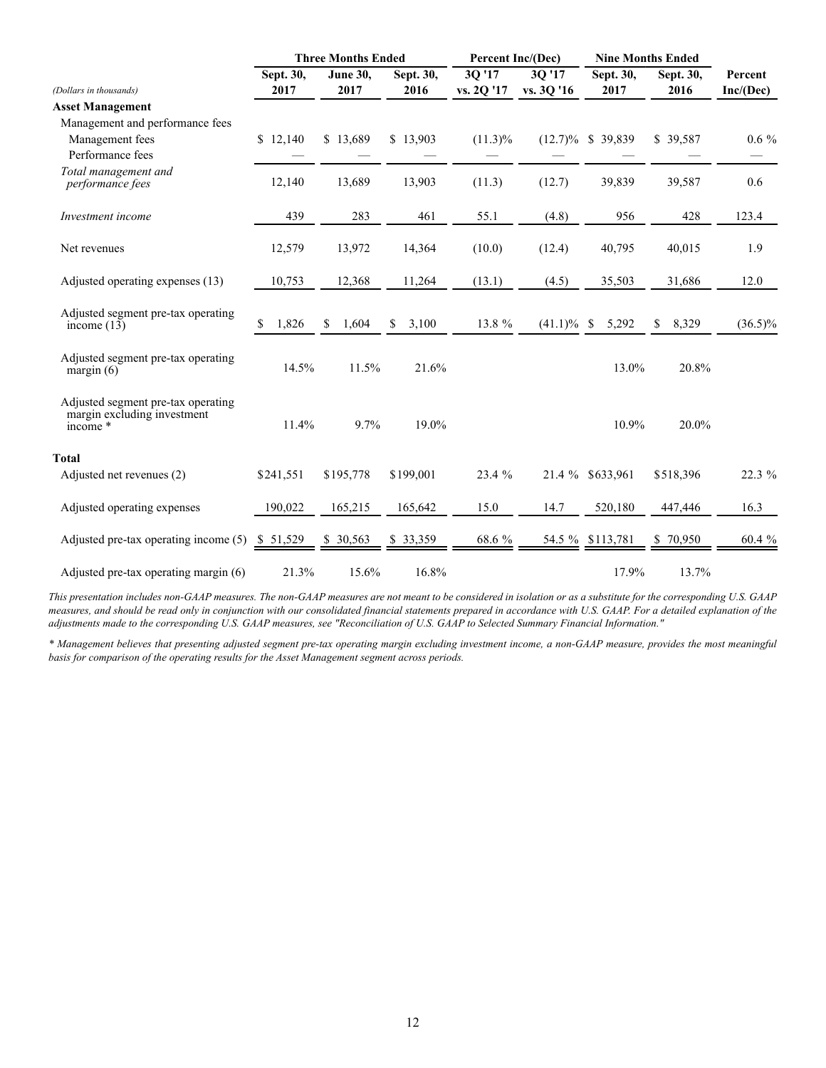|                                                                                 |             | <b>Three Months Ended</b> |             | Percent Inc/(Dec) |            |                        | <b>Nine Months Ended</b> |            |
|---------------------------------------------------------------------------------|-------------|---------------------------|-------------|-------------------|------------|------------------------|--------------------------|------------|
|                                                                                 | Sept. 30,   | June 30,                  | Sept. 30,   | 3Q '17            | 3Q '17     | Sept. 30,              | Sept. 30,                | Percent    |
| (Dollars in thousands)                                                          | 2017        | 2017                      | 2016        | vs. 2Q '17        | vs. 3Q '16 | 2017                   | 2016                     | Inc/(Dec)  |
| <b>Asset Management</b>                                                         |             |                           |             |                   |            |                        |                          |            |
| Management and performance fees                                                 |             |                           |             |                   |            |                        |                          |            |
| Management fees                                                                 | \$12,140    | \$13,689                  | \$13,903    | $(11.3)\%$        | $(12.7)\%$ | \$39,839               | \$39,587                 | $0.6\%$    |
| Performance fees                                                                |             |                           |             |                   |            |                        |                          |            |
| Total management and<br>performance fees                                        | 12,140      | 13,689                    | 13,903      | (11.3)            | (12.7)     | 39,839                 | 39,587                   | 0.6        |
| Investment income                                                               | 439         | 283                       | 461         | 55.1              | (4.8)      | 956                    | 428                      | 123.4      |
| Net revenues                                                                    | 12,579      | 13,972                    | 14,364      | (10.0)            | (12.4)     | 40,795                 | 40,015                   | 1.9        |
| Adjusted operating expenses (13)                                                | 10,753      | 12,368                    | 11,264      | (13.1)            | (4.5)      | 35,503                 | 31,686                   | 12.0       |
| Adjusted segment pre-tax operating<br>income $(13)$                             | \$<br>1,826 | <sup>\$</sup><br>1,604    | 3,100<br>\$ | 13.8 %            | $(41.1)\%$ | 5,292<br><sup>\$</sup> | 8,329<br>\$              | $(36.5)\%$ |
| Adjusted segment pre-tax operating<br>margin $(6)$                              | 14.5%       | 11.5%                     | 21.6%       |                   |            | 13.0%                  | 20.8%                    |            |
| Adjusted segment pre-tax operating<br>margin excluding investment<br>income $*$ | 11.4%       | 9.7%                      | 19.0%       |                   |            | 10.9%                  | 20.0%                    |            |
| <b>Total</b>                                                                    |             |                           |             |                   |            |                        |                          |            |
| Adjusted net revenues (2)                                                       | \$241,551   | \$195,778                 | \$199,001   | 23.4 %            | 21.4 %     | \$633,961              | \$518,396                | 22.3 %     |
| Adjusted operating expenses                                                     | 190.022     | 165,215                   | 165,642     | 15.0              | 14.7       | 520,180                | 447,446                  | 16.3       |
| Adjusted pre-tax operating income (5)                                           | \$51,529    | \$ 30,563                 | \$ 33,359   | 68.6 %            |            | 54.5 % \$113,781       | 70,950<br>S.             | 60.4 %     |
| Adjusted pre-tax operating margin (6)                                           | 21.3%       | 15.6%                     | 16.8%       |                   |            | 17.9%                  | 13.7%                    |            |

*This presentation includes non-GAAP measures. The non-GAAP measures are not meant to be considered in isolation or as a substitute for the corresponding U.S. GAAP measures, and should be read only in conjunction with our consolidated financial statements prepared in accordance with U.S. GAAP. For a detailed explanation of the adjustments made to the corresponding U.S. GAAP measures, see "Reconciliation of U.S. GAAP to Selected Summary Financial Information."*

*\* Management believes that presenting adjusted segment pre-tax operating margin excluding investment income, a non-GAAP measure, provides the most meaningful basis for comparison of the operating results for the Asset Management segment across periods.*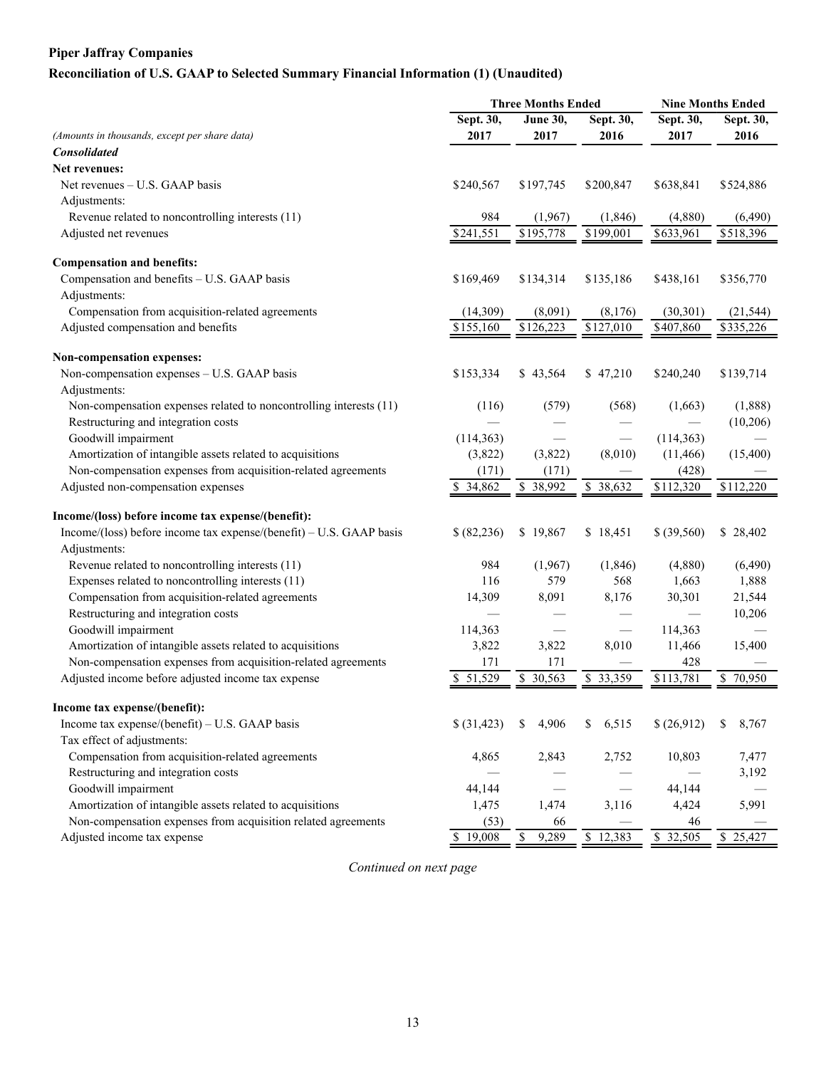## **Piper Jaffray Companies**

## **Reconciliation of U.S. GAAP to Selected Summary Financial Information (1) (Unaudited)**

| Sept. 30,<br>Sept. 30,<br>Sept. 30,<br><b>June 30,</b><br>Sept. 30,<br>2017<br>(Amounts in thousands, except per share data)<br>2017<br>2016<br>2017<br>2016<br><b>Consolidated</b><br>Net revenues:<br>\$638,841<br>Net revenues – U.S. GAAP basis<br>\$240,567<br>\$197,745<br>\$200,847<br>\$524,886<br>Adjustments:<br>984<br>Revenue related to noncontrolling interests (11)<br>(1,967)<br>(1, 846)<br>(4,880)<br>(6, 490)<br>$\overline{$195,778}$<br>\$518,396<br>\$241,551<br>\$199,001<br>\$633,961<br>Adjusted net revenues<br><b>Compensation and benefits:</b><br>Compensation and benefits - U.S. GAAP basis<br>\$169,469<br>\$134,314<br>\$135,186<br>\$438,161<br>\$356,770<br>Adjustments:<br>Compensation from acquisition-related agreements<br>(14,309)<br>(8,091)<br>(30, 301)<br>(21, 544)<br>(8,176)<br>Adjusted compensation and benefits<br>\$126,223<br>\$127,010<br>\$155,160<br>\$407,860<br>\$335,226 |
|------------------------------------------------------------------------------------------------------------------------------------------------------------------------------------------------------------------------------------------------------------------------------------------------------------------------------------------------------------------------------------------------------------------------------------------------------------------------------------------------------------------------------------------------------------------------------------------------------------------------------------------------------------------------------------------------------------------------------------------------------------------------------------------------------------------------------------------------------------------------------------------------------------------------------------|
|                                                                                                                                                                                                                                                                                                                                                                                                                                                                                                                                                                                                                                                                                                                                                                                                                                                                                                                                    |
|                                                                                                                                                                                                                                                                                                                                                                                                                                                                                                                                                                                                                                                                                                                                                                                                                                                                                                                                    |
|                                                                                                                                                                                                                                                                                                                                                                                                                                                                                                                                                                                                                                                                                                                                                                                                                                                                                                                                    |
|                                                                                                                                                                                                                                                                                                                                                                                                                                                                                                                                                                                                                                                                                                                                                                                                                                                                                                                                    |
|                                                                                                                                                                                                                                                                                                                                                                                                                                                                                                                                                                                                                                                                                                                                                                                                                                                                                                                                    |
|                                                                                                                                                                                                                                                                                                                                                                                                                                                                                                                                                                                                                                                                                                                                                                                                                                                                                                                                    |
|                                                                                                                                                                                                                                                                                                                                                                                                                                                                                                                                                                                                                                                                                                                                                                                                                                                                                                                                    |
|                                                                                                                                                                                                                                                                                                                                                                                                                                                                                                                                                                                                                                                                                                                                                                                                                                                                                                                                    |
|                                                                                                                                                                                                                                                                                                                                                                                                                                                                                                                                                                                                                                                                                                                                                                                                                                                                                                                                    |
|                                                                                                                                                                                                                                                                                                                                                                                                                                                                                                                                                                                                                                                                                                                                                                                                                                                                                                                                    |
|                                                                                                                                                                                                                                                                                                                                                                                                                                                                                                                                                                                                                                                                                                                                                                                                                                                                                                                                    |
|                                                                                                                                                                                                                                                                                                                                                                                                                                                                                                                                                                                                                                                                                                                                                                                                                                                                                                                                    |
|                                                                                                                                                                                                                                                                                                                                                                                                                                                                                                                                                                                                                                                                                                                                                                                                                                                                                                                                    |
|                                                                                                                                                                                                                                                                                                                                                                                                                                                                                                                                                                                                                                                                                                                                                                                                                                                                                                                                    |
| Non-compensation expenses:                                                                                                                                                                                                                                                                                                                                                                                                                                                                                                                                                                                                                                                                                                                                                                                                                                                                                                         |
| Non-compensation expenses - U.S. GAAP basis<br>\$47,210<br>\$153,334<br>\$43,564<br>\$240,240<br>\$139,714                                                                                                                                                                                                                                                                                                                                                                                                                                                                                                                                                                                                                                                                                                                                                                                                                         |
| Adjustments:                                                                                                                                                                                                                                                                                                                                                                                                                                                                                                                                                                                                                                                                                                                                                                                                                                                                                                                       |
| Non-compensation expenses related to noncontrolling interests (11)<br>(579)<br>(1,888)<br>(116)<br>(568)<br>(1,663)                                                                                                                                                                                                                                                                                                                                                                                                                                                                                                                                                                                                                                                                                                                                                                                                                |
| Restructuring and integration costs<br>(10,206)                                                                                                                                                                                                                                                                                                                                                                                                                                                                                                                                                                                                                                                                                                                                                                                                                                                                                    |
| Goodwill impairment<br>(114, 363)<br>(114, 363)                                                                                                                                                                                                                                                                                                                                                                                                                                                                                                                                                                                                                                                                                                                                                                                                                                                                                    |
| Amortization of intangible assets related to acquisitions<br>(3,822)<br>(3,822)<br>(8,010)<br>(15,400)<br>(11, 466)                                                                                                                                                                                                                                                                                                                                                                                                                                                                                                                                                                                                                                                                                                                                                                                                                |
| Non-compensation expenses from acquisition-related agreements<br>(171)<br>(171)<br>(428)                                                                                                                                                                                                                                                                                                                                                                                                                                                                                                                                                                                                                                                                                                                                                                                                                                           |
| Adjusted non-compensation expenses<br>\$34,862<br>\$ 38,992<br>\$ 38,632<br>\$112,320<br>\$112,220                                                                                                                                                                                                                                                                                                                                                                                                                                                                                                                                                                                                                                                                                                                                                                                                                                 |
| Income/(loss) before income tax expense/(benefit):                                                                                                                                                                                                                                                                                                                                                                                                                                                                                                                                                                                                                                                                                                                                                                                                                                                                                 |
| Income/(loss) before income tax expense/(benefit) – U.S. GAAP basis<br>\$ (82, 236)<br>\$19,867<br>\$ (39, 560)<br>\$28,402<br>\$18,451                                                                                                                                                                                                                                                                                                                                                                                                                                                                                                                                                                                                                                                                                                                                                                                            |
| Adjustments:                                                                                                                                                                                                                                                                                                                                                                                                                                                                                                                                                                                                                                                                                                                                                                                                                                                                                                                       |
| Revenue related to noncontrolling interests (11)<br>984<br>(1,967)<br>(1, 846)<br>(4,880)<br>(6, 490)                                                                                                                                                                                                                                                                                                                                                                                                                                                                                                                                                                                                                                                                                                                                                                                                                              |
| Expenses related to noncontrolling interests (11)<br>1,888<br>116<br>579<br>568<br>1,663                                                                                                                                                                                                                                                                                                                                                                                                                                                                                                                                                                                                                                                                                                                                                                                                                                           |
| Compensation from acquisition-related agreements<br>14,309<br>8,091<br>8,176<br>30,301<br>21,544                                                                                                                                                                                                                                                                                                                                                                                                                                                                                                                                                                                                                                                                                                                                                                                                                                   |
| Restructuring and integration costs<br>10,206                                                                                                                                                                                                                                                                                                                                                                                                                                                                                                                                                                                                                                                                                                                                                                                                                                                                                      |
| Goodwill impairment<br>114,363<br>114,363                                                                                                                                                                                                                                                                                                                                                                                                                                                                                                                                                                                                                                                                                                                                                                                                                                                                                          |
| Amortization of intangible assets related to acquisitions<br>3,822<br>3,822<br>8,010<br>11,466<br>15,400                                                                                                                                                                                                                                                                                                                                                                                                                                                                                                                                                                                                                                                                                                                                                                                                                           |
| Non-compensation expenses from acquisition-related agreements<br>171<br>171<br>428                                                                                                                                                                                                                                                                                                                                                                                                                                                                                                                                                                                                                                                                                                                                                                                                                                                 |
| Adjusted income before adjusted income tax expense<br>51,529<br>30,563<br>\$ 33,359<br>\$113,781<br>\$70,950<br>\$                                                                                                                                                                                                                                                                                                                                                                                                                                                                                                                                                                                                                                                                                                                                                                                                                 |
| Income tax expense/(benefit):                                                                                                                                                                                                                                                                                                                                                                                                                                                                                                                                                                                                                                                                                                                                                                                                                                                                                                      |
| Income tax expense/(benefit) - U.S. GAAP basis<br>6,515<br>\$ (31, 423)<br>4,906<br>\$<br>\$(26,912)<br>8,767<br>S<br>\$                                                                                                                                                                                                                                                                                                                                                                                                                                                                                                                                                                                                                                                                                                                                                                                                           |
| Tax effect of adjustments:                                                                                                                                                                                                                                                                                                                                                                                                                                                                                                                                                                                                                                                                                                                                                                                                                                                                                                         |
| Compensation from acquisition-related agreements<br>4,865<br>2,843<br>10,803<br>7,477<br>2,752                                                                                                                                                                                                                                                                                                                                                                                                                                                                                                                                                                                                                                                                                                                                                                                                                                     |
| Restructuring and integration costs<br>3,192                                                                                                                                                                                                                                                                                                                                                                                                                                                                                                                                                                                                                                                                                                                                                                                                                                                                                       |
| Goodwill impairment<br>44,144<br>44,144                                                                                                                                                                                                                                                                                                                                                                                                                                                                                                                                                                                                                                                                                                                                                                                                                                                                                            |
| Amortization of intangible assets related to acquisitions<br>5,991<br>1,475<br>1,474<br>3,116<br>4,424                                                                                                                                                                                                                                                                                                                                                                                                                                                                                                                                                                                                                                                                                                                                                                                                                             |
| Non-compensation expenses from acquisition related agreements<br>(53)<br>66<br>46                                                                                                                                                                                                                                                                                                                                                                                                                                                                                                                                                                                                                                                                                                                                                                                                                                                  |
| Adjusted income tax expense<br>\$ 32,505<br>\$19,008<br>9,289<br>\$12,383<br>\$25,427<br>\$                                                                                                                                                                                                                                                                                                                                                                                                                                                                                                                                                                                                                                                                                                                                                                                                                                        |

*Continued on next page*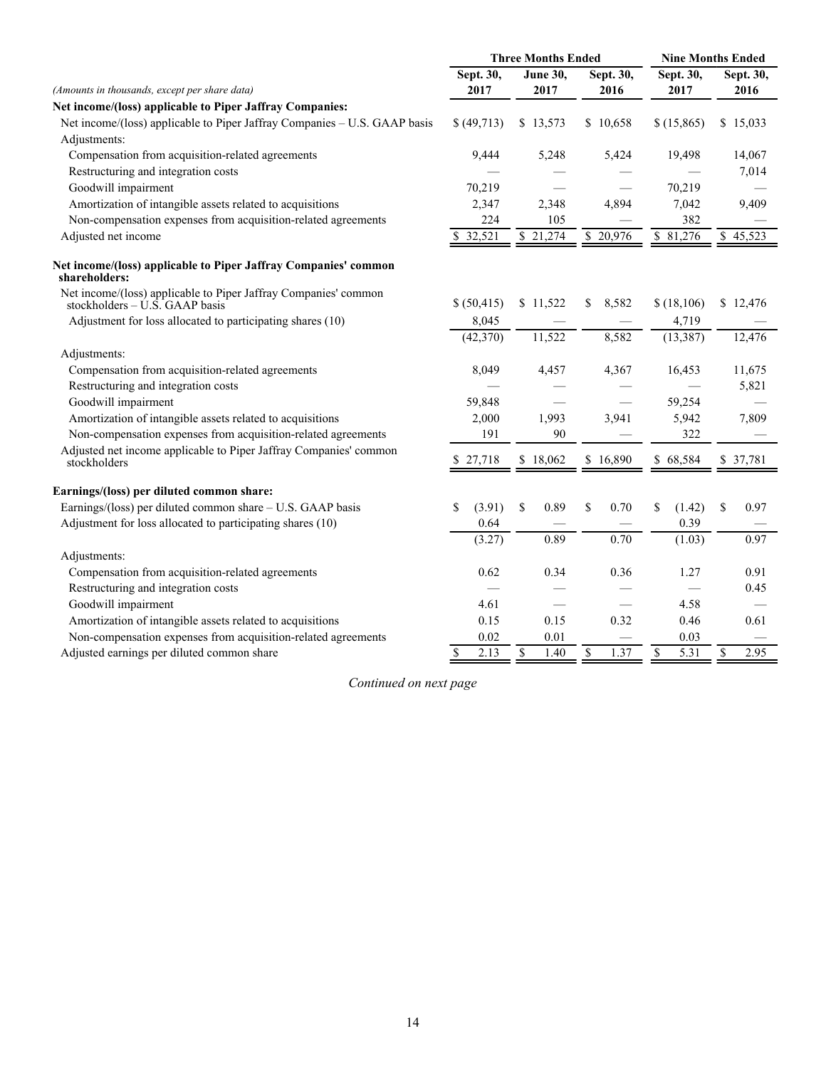|                                                                                                     | <b>Three Months Ended</b> |                                  |                     | <b>Nine Months Ended</b>         |            |  |
|-----------------------------------------------------------------------------------------------------|---------------------------|----------------------------------|---------------------|----------------------------------|------------|--|
|                                                                                                     | Sept. 30,                 | <b>June 30,</b>                  | Sept. 30,           | Sept. 30,                        | Sept. 30,  |  |
| (Amounts in thousands, except per share data)                                                       | 2017                      | 2017                             | 2016                | 2017                             | 2016       |  |
| Net income/(loss) applicable to Piper Jaffray Companies:                                            |                           |                                  |                     |                                  |            |  |
| Net income/(loss) applicable to Piper Jaffray Companies - U.S. GAAP basis                           | \$(49,713)                | \$13,573                         | \$10,658            | \$(15,865)                       | \$15,033   |  |
| Adjustments:                                                                                        |                           |                                  |                     |                                  |            |  |
| Compensation from acquisition-related agreements                                                    | 9,444                     | 5,248                            | 5,424               | 19,498                           | 14,067     |  |
| Restructuring and integration costs                                                                 |                           |                                  |                     |                                  | 7,014      |  |
| Goodwill impairment                                                                                 | 70,219                    |                                  |                     | 70,219                           |            |  |
| Amortization of intangible assets related to acquisitions                                           | 2,347                     | 2,348                            | 4,894               | 7,042                            | 9,409      |  |
| Non-compensation expenses from acquisition-related agreements                                       | 224                       | 105                              |                     | 382                              |            |  |
| Adjusted net income                                                                                 | 32,521                    | \$21,274                         | \$20,976            | \$81,276                         | \$45,523   |  |
| Net income/(loss) applicable to Piper Jaffray Companies' common<br>shareholders:                    |                           |                                  |                     |                                  |            |  |
| Net income/(loss) applicable to Piper Jaffray Companies' common<br>stockholders $-$ U.S. GAAP basis | \$ (50, 415)              | \$11,522                         | 8,582<br>\$         | \$(18, 106)                      | \$12,476   |  |
| Adjustment for loss allocated to participating shares (10)                                          | 8,045                     |                                  |                     | 4,719                            |            |  |
|                                                                                                     | (42,370)                  | 11,522                           | 8,582               | (13, 387)                        | 12,476     |  |
| Adjustments:                                                                                        |                           |                                  |                     |                                  |            |  |
| Compensation from acquisition-related agreements                                                    | 8,049                     | 4,457                            | 4,367               | 16,453                           | 11,675     |  |
| Restructuring and integration costs                                                                 |                           |                                  |                     |                                  | 5,821      |  |
| Goodwill impairment                                                                                 | 59,848                    |                                  |                     | 59,254                           |            |  |
| Amortization of intangible assets related to acquisitions                                           | 2,000                     | 1,993                            | 3,941               | 5,942                            | 7,809      |  |
| Non-compensation expenses from acquisition-related agreements                                       | 191                       | 90                               |                     | 322                              |            |  |
| Adjusted net income applicable to Piper Jaffray Companies' common<br>stockholders                   | \$27,718                  | \$18,062                         | \$16,890            | \$68,584                         | \$ 37,781  |  |
| Earnings/(loss) per diluted common share:                                                           |                           |                                  |                     |                                  |            |  |
| Earnings/(loss) per diluted common share - U.S. GAAP basis                                          | (3.91)<br>\$              | 0.89<br>\$                       | \$<br>0.70          | \$<br>(1.42)                     | \$<br>0.97 |  |
| Adjustment for loss allocated to participating shares (10)                                          | 0.64                      |                                  |                     | 0.39                             |            |  |
|                                                                                                     | (3.27)                    | 0.89                             | 0.70                | (1.03)                           | 0.97       |  |
| Adjustments:                                                                                        |                           |                                  |                     |                                  |            |  |
| Compensation from acquisition-related agreements                                                    | 0.62                      | 0.34                             | 0.36                | 1.27                             | 0.91       |  |
| Restructuring and integration costs                                                                 |                           |                                  |                     |                                  | 0.45       |  |
| Goodwill impairment                                                                                 | 4.61                      |                                  |                     | 4.58                             |            |  |
| Amortization of intangible assets related to acquisitions                                           | 0.15                      | 0.15                             | 0.32                | 0.46                             | 0.61       |  |
| Non-compensation expenses from acquisition-related agreements                                       | 0.02                      | 0.01                             |                     | 0.03                             |            |  |
| Adjusted earnings per diluted common share                                                          | \$<br>2.13                | $\overline{\mathcal{S}}$<br>1.40 | $\mathbf S$<br>1.37 | $\overline{\mathcal{S}}$<br>5.31 | \$<br>2.95 |  |

*Continued on next page*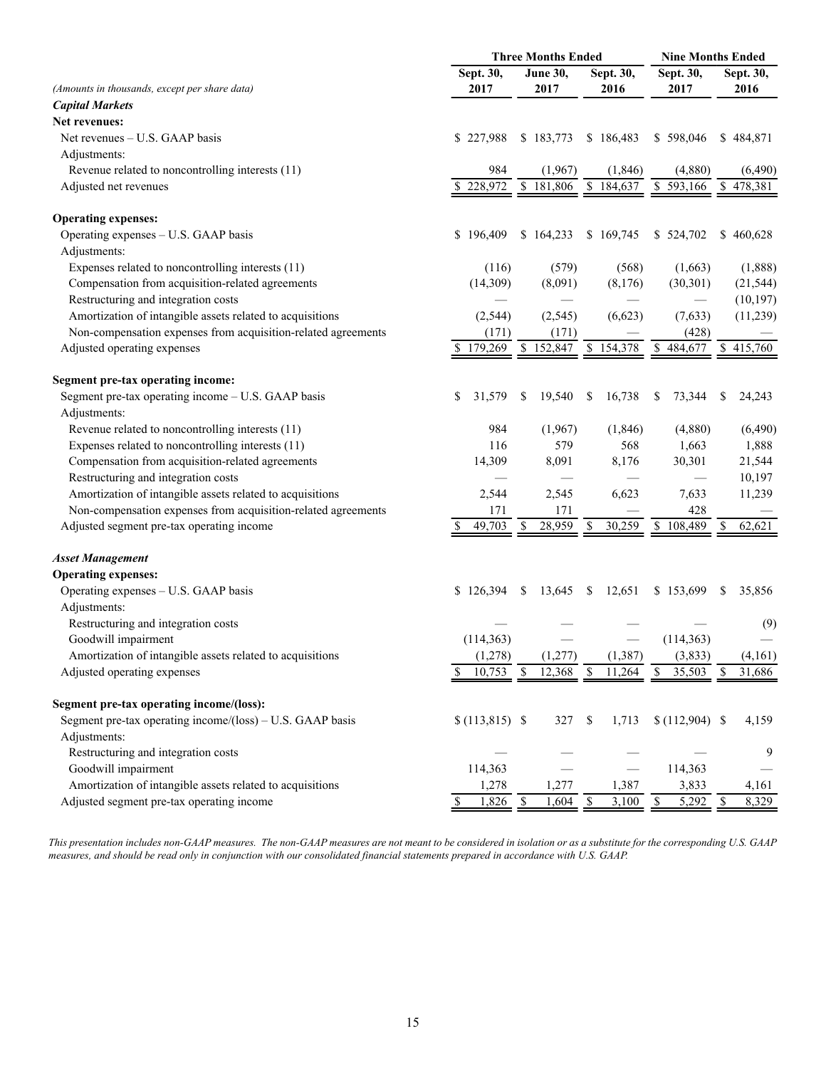|                                                               | <b>Three Months Ended</b> |                        |                         | <b>Nine Months Ended</b> |                             |  |
|---------------------------------------------------------------|---------------------------|------------------------|-------------------------|--------------------------|-----------------------------|--|
|                                                               | Sept. 30,                 | <b>June 30,</b>        | Sept. 30,               | Sept. 30,                | Sept. 30,                   |  |
| (Amounts in thousands, except per share data)                 | 2017                      | 2017                   | 2016                    | 2017                     | 2016                        |  |
| <b>Capital Markets</b>                                        |                           |                        |                         |                          |                             |  |
| Net revenues:                                                 |                           |                        |                         |                          |                             |  |
| Net revenues – U.S. GAAP basis                                | \$227,988                 | \$183,773              | \$186,483               | \$598,046                | \$484,871                   |  |
| Adjustments:                                                  |                           |                        |                         |                          |                             |  |
| Revenue related to noncontrolling interests (11)              | 984                       | (1,967)                | (1, 846)                | (4,880)                  | (6, 490)                    |  |
| Adjusted net revenues                                         | 228,972                   | \$181,806              | \$184,637               | $\bar{\$}$ 593,166       | 478,381<br>S.               |  |
| <b>Operating expenses:</b>                                    |                           |                        |                         |                          |                             |  |
| Operating expenses – U.S. GAAP basis                          | \$196,409                 | \$164,233              | \$169,745               | \$524,702                | 460,628<br>\$               |  |
| Adjustments:                                                  |                           |                        |                         |                          |                             |  |
| Expenses related to noncontrolling interests (11)             | (116)                     | (579)                  | (568)                   | (1,663)                  | (1,888)                     |  |
| Compensation from acquisition-related agreements              | (14,309)                  | (8,091)                | (8,176)                 | (30, 301)                | (21, 544)                   |  |
| Restructuring and integration costs                           |                           |                        |                         |                          | (10, 197)                   |  |
| Amortization of intangible assets related to acquisitions     | (2, 544)                  | (2, 545)               | (6,623)                 | (7,633)                  | (11,239)                    |  |
| Non-compensation expenses from acquisition-related agreements | (171)                     | (171)                  |                         | (428)                    |                             |  |
| Adjusted operating expenses                                   | 179,269                   | \$152,847              | \$154,378               | 484,677<br>S.            | \$415,760                   |  |
| <b>Segment pre-tax operating income:</b>                      |                           |                        |                         |                          |                             |  |
| Segment pre-tax operating income - U.S. GAAP basis            | \$<br>31,579              | 19,540<br>S            | 16,738<br>S             | 73,344<br>S              | 24,243<br>S                 |  |
| Adjustments:                                                  |                           |                        |                         |                          |                             |  |
| Revenue related to noncontrolling interests (11)              | 984                       | (1,967)                | (1, 846)                | (4,880)                  | (6,490)                     |  |
| Expenses related to noncontrolling interests (11)             | 116                       | 579                    | 568                     | 1,663                    | 1,888                       |  |
| Compensation from acquisition-related agreements              | 14,309                    | 8,091                  | 8,176                   | 30,301                   | 21,544                      |  |
| Restructuring and integration costs                           |                           |                        |                         |                          | 10,197                      |  |
| Amortization of intangible assets related to acquisitions     | 2,544                     | 2,545                  | 6,623                   | 7,633                    | 11,239                      |  |
| Non-compensation expenses from acquisition-related agreements | 171                       | 171                    |                         | 428                      |                             |  |
| Adjusted segment pre-tax operating income                     | 49,703                    | 28,959                 | 30,259<br>S             | $\overline{\$}$ 108,489  | 62,621<br>\$                |  |
| <b>Asset Management</b>                                       |                           |                        |                         |                          |                             |  |
| <b>Operating expenses:</b>                                    |                           |                        |                         |                          |                             |  |
| Operating expenses - U.S. GAAP basis                          | \$126,394                 | 13,645<br><sup>S</sup> | 12,651<br><sup>\$</sup> | \$153,699                | 35,856<br>\$                |  |
| Adjustments:                                                  |                           |                        |                         |                          |                             |  |
| Restructuring and integration costs                           |                           |                        |                         |                          | (9)                         |  |
| Goodwill impairment                                           | (114, 363)                |                        |                         | (114, 363)               |                             |  |
| Amortization of intangible assets related to acquisitions     | (1,278)                   | (1, 277)               | (1, 387)                | (3, 833)                 | (4,161)                     |  |
| Adjusted operating expenses                                   | 10,753                    | \$<br>12,368           | \$<br>11,264            | \$<br>35,503             | 31,686<br>S                 |  |
| Segment pre-tax operating income/(loss):                      |                           |                        |                         |                          |                             |  |
| Segment pre-tax operating income/(loss) – U.S. GAAP basis     | $(113, 815)$ \$           | 327                    | \$<br>1,713             | $(112,904)$ \$           | 4,159                       |  |
| Adjustments:                                                  |                           |                        |                         |                          |                             |  |
| Restructuring and integration costs                           |                           |                        |                         |                          | 9                           |  |
| Goodwill impairment                                           | 114,363                   |                        |                         | 114,363                  |                             |  |
| Amortization of intangible assets related to acquisitions     | 1,278                     | 1,277                  | 1,387                   | 3,833                    | 4,161                       |  |
| Adjusted segment pre-tax operating income                     | 1,826<br>\$               | 1,604<br>- \$          | $\mathbf{\$}$<br>3,100  | 5,292<br><sup>\$</sup>   | $\mathbf{\hat{S}}$<br>8,329 |  |

*This presentation includes non-GAAP measures. The non-GAAP measures are not meant to be considered in isolation or as a substitute for the corresponding U.S. GAAP measures, and should be read only in conjunction with our consolidated financial statements prepared in accordance with U.S. GAAP.*